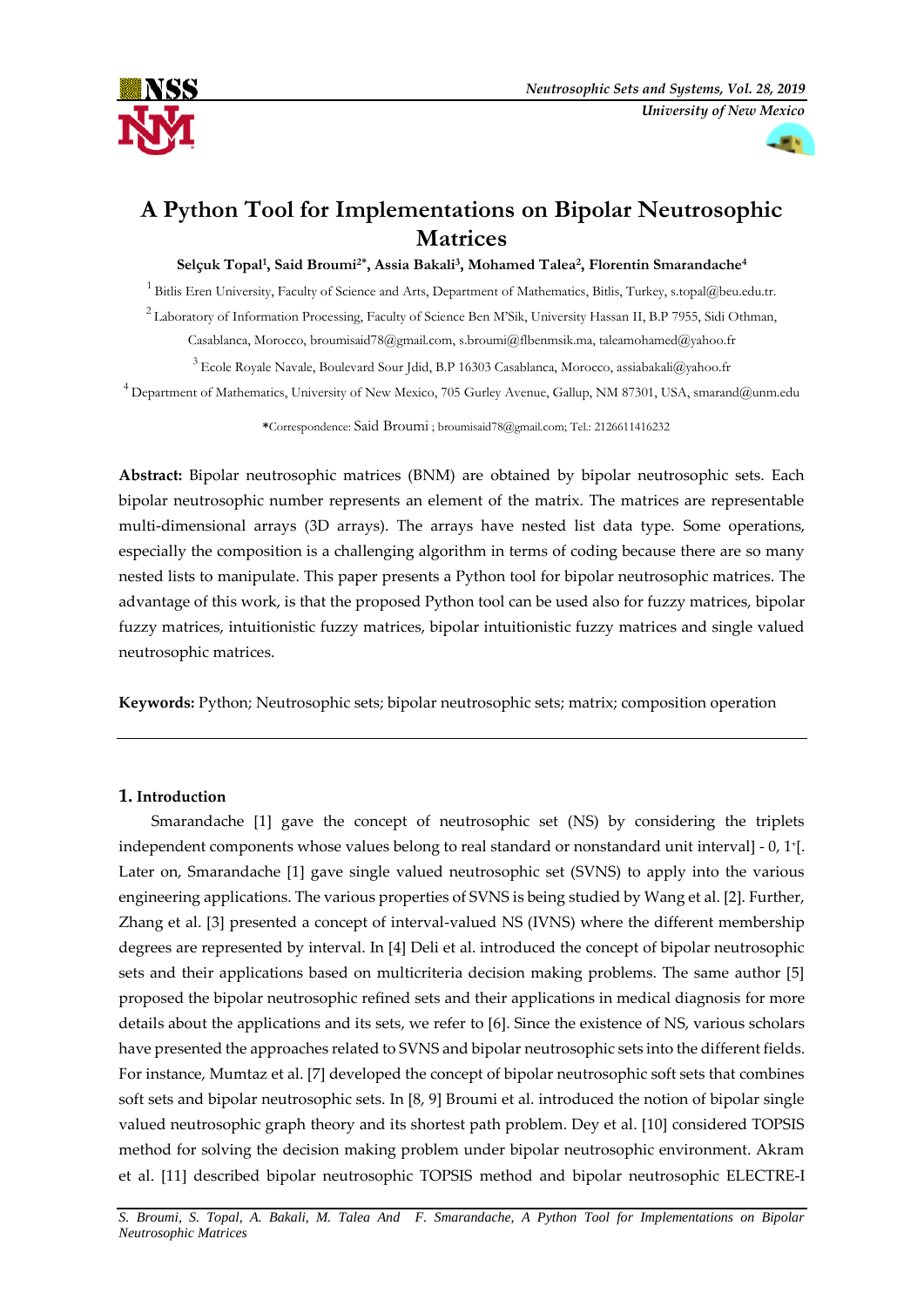



# **A Python Tool for Implementations on Bipolar Neutrosophic Matrices**

**Selçuk Topal<sup>1</sup> , Said Broumi2\* , Assia Bakali<sup>3</sup> , Mohamed Talea<sup>2</sup> , Florentin Smarandache<sup>4</sup>**

<sup>1</sup>Bitlis Eren University, Faculty of Science and Arts, Department of Mathematics, Bitlis, Turkey, s.topal@beu.edu.tr. <sup>2</sup>Laboratory of Information Processing, Faculty of Science Ben M'Sik, University Hassan II, B.P 7955, Sidi Othman, Casablanca, Morocco, [broumisaid78@gmail.com,](mailto:1broumisaid78@gmail.com) s.broumi@flbenmsik.ma, [taleamohamed@yahoo.fr](mailto:taleamohamed@yahoo.fr)

<sup>3</sup>Ecole Royale Navale, Boulevard Sour Jdid, B.P 16303 Casablanca, Morocco[, assiabakali@yahoo.fr](mailto:assiabakali@yahoo.fr) <sup>4</sup> Department of Mathematics, University of New Mexico, 705 Gurley Avenue, Gallup, NM 87301, USA, smarand@unm.edu

**\***Correspondence: Said Broumi ; broumisaid78@gmail.com; Tel.: 2126611416232

**Abstract:** Bipolar neutrosophic matrices (BNM) are obtained by bipolar neutrosophic sets. Each bipolar neutrosophic number represents an element of the matrix. The matrices are representable multi-dimensional arrays (3D arrays). The arrays have nested list data type. Some operations, especially the composition is a challenging algorithm in terms of coding because there are so many nested lists to manipulate. This paper presents a Python tool for bipolar neutrosophic matrices. The advantage of this work, is that the proposed Python tool can be used also for fuzzy matrices, bipolar fuzzy matrices, intuitionistic fuzzy matrices, bipolar intuitionistic fuzzy matrices and single valued neutrosophic matrices.

**Keywords:** Python; Neutrosophic sets; bipolar neutrosophic sets; matrix; composition operation

# **1. Introduction**

Smarandache [1] gave the concept of neutrosophic set (NS) by considering the triplets independent components whose values belong to real standard or nonstandard unit interval] - 0, 1<sup>+</sup> [. Later on, Smarandache [1] gave single valued neutrosophic set (SVNS) to apply into the various engineering applications. The various properties of SVNS is being studied by Wang et al. [2]. Further, Zhang et al. [3] presented a concept of interval-valued NS (IVNS) where the different membership degrees are represented by interval. In [4] Deli et al. introduced the concept of bipolar neutrosophic sets and their applications based on multicriteria decision making problems. The same author [5] proposed the bipolar neutrosophic refined sets and their applications in medical diagnosis for more details about the applications and its sets, we refer to [6]. Since the existence of NS, various scholars have presented the approaches related to SVNS and bipolar neutrosophic sets into the different fields. For instance, Mumtaz et al. [7] developed the concept of bipolar neutrosophic soft sets that combines soft sets and bipolar neutrosophic sets. In [8, 9] Broumi et al. introduced the notion of bipolar single valued neutrosophic graph theory and its shortest path problem. Dey et al. [10] considered TOPSIS method for solving the decision making problem under bipolar neutrosophic environment. Akram et al. [11] described bipolar neutrosophic TOPSIS method and bipolar neutrosophic ELECTRE-I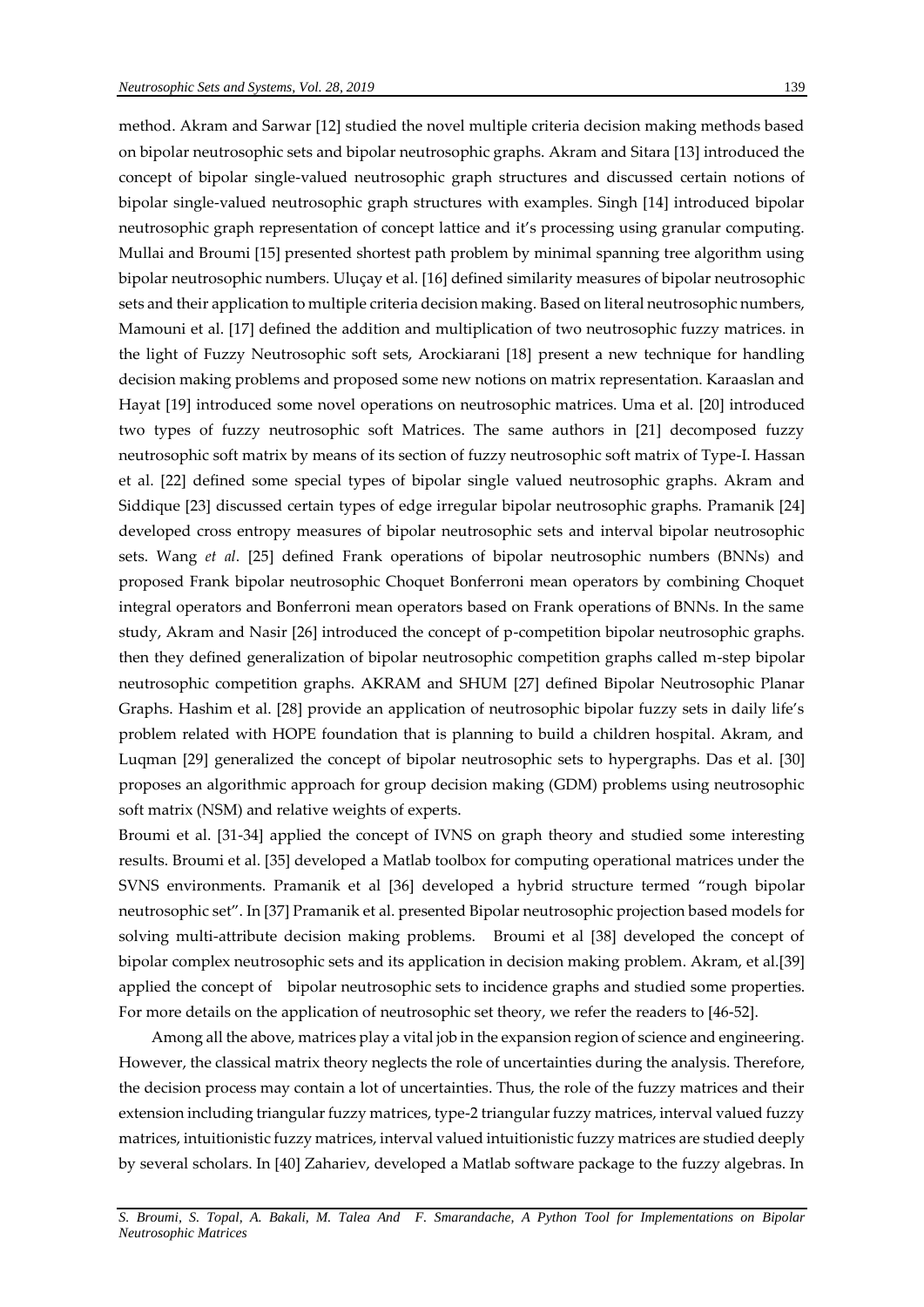method. Akram and Sarwar [12] studied the novel multiple criteria decision making methods based on bipolar neutrosophic sets and bipolar neutrosophic graphs. Akram and Sitara [13] introduced the concept of bipolar single-valued neutrosophic graph structures and discussed certain notions of bipolar single-valued neutrosophic graph structures with examples. Singh [14] introduced bipolar neutrosophic graph representation of concept lattice and it's processing using granular computing. Mullai and Broumi [15] presented shortest path problem by minimal spanning tree algorithm using bipolar neutrosophic numbers. Uluçay et al. [16] defined similarity measures of bipolar neutrosophic sets and their application to multiple criteria decision making. Based on literal neutrosophic numbers, Mamouni et al. [17] defined the addition and multiplication of two neutrosophic fuzzy matrices. in the light of Fuzzy Neutrosophic soft sets, Arockiarani [18] present a new technique for handling decision making problems and proposed some new notions on matrix representation. Karaaslan and Hayat [19] introduced some novel operations on neutrosophic matrices. Uma et al. [20] introduced two types of fuzzy neutrosophic soft Matrices. The same authors in [21] decomposed fuzzy neutrosophic soft matrix by means of its section of fuzzy neutrosophic soft matrix of Type-I. Hassan et al. [22] defined some special types of bipolar single valued neutrosophic graphs. Akram and Siddique [23] discussed certain types of edge irregular bipolar neutrosophic graphs. Pramanik [24] developed cross entropy measures of bipolar neutrosophic sets and interval bipolar neutrosophic sets. Wang *et al*. [25] defined Frank operations of bipolar neutrosophic numbers (BNNs) and proposed Frank bipolar neutrosophic Choquet Bonferroni mean operators by combining Choquet integral operators and Bonferroni mean operators based on Frank operations of BNNs. In the same study, Akram and Nasir [26] introduced the concept of p-competition bipolar neutrosophic graphs. then they defined generalization of bipolar neutrosophic competition graphs called m-step bipolar neutrosophic competition graphs. AKRAM and SHUM [27] defined Bipolar Neutrosophic Planar Graphs. Hashim et al. [28] provide an application of neutrosophic bipolar fuzzy sets in daily life's problem related with HOPE foundation that is planning to build a children hospital. Akram, and Luqman [29] generalized the concept of bipolar neutrosophic sets to hypergraphs. Das et al. [30] proposes an algorithmic approach for group decision making (GDM) problems using neutrosophic soft matrix (NSM) and relative weights of experts.

Broumi et al. [31-34] applied the concept of IVNS on graph theory and studied some interesting results. Broumi et al. [35] developed a Matlab toolbox for computing operational matrices under the SVNS environments. Pramanik et al [36] developed a hybrid structure termed "rough bipolar neutrosophic set". In [37] Pramanik et al. presented Bipolar neutrosophic projection based models for solving multi-attribute decision making problems. Broumi et al [38] developed the concept of bipolar complex neutrosophic sets and its application in decision making problem. Akram, et al.[39] applied the concept of [bipolar neutrosophic sets to incidence graphs](http://fs.unm.edu/NSS/ApplicationofBipolarNeutrosophicsetstoIncidence.pdf) and studied some properties. For more details on the application of neutrosophic set theory, we refer the readers to [46-52].

Among all the above, matrices play a vital job in the expansion region of science and engineering. However, the classical matrix theory neglects the role of uncertainties during the analysis. Therefore, the decision process may contain a lot of uncertainties. Thus, the role of the fuzzy matrices and their extension including triangular fuzzy matrices, type-2 triangular fuzzy matrices, interval valued fuzzy matrices, intuitionistic fuzzy matrices, interval valued intuitionistic fuzzy matrices are studied deeply by several scholars. In [40] Zahariev, developed a Matlab software package to the fuzzy algebras. In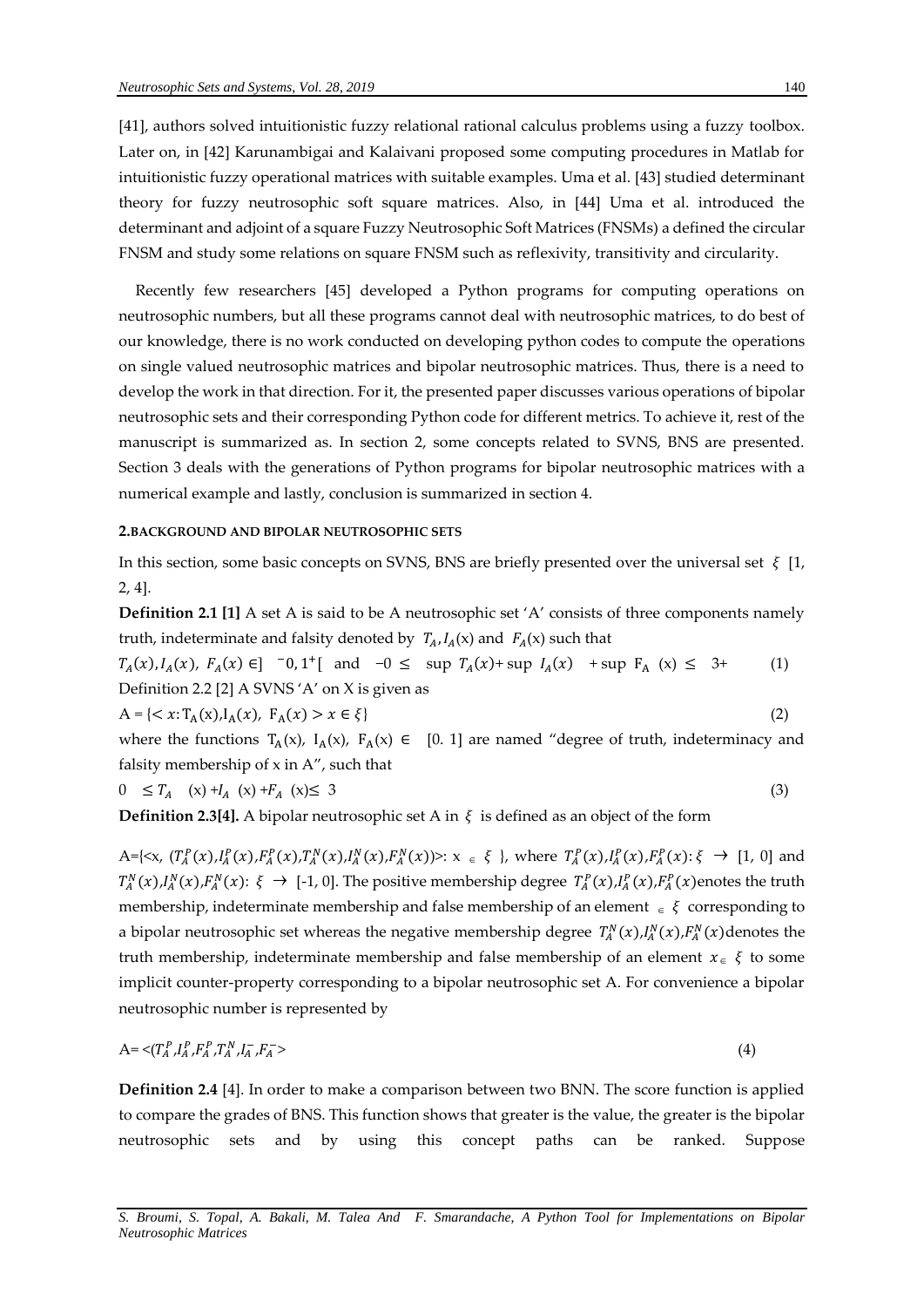[41], authors solved intuitionistic fuzzy relational rational calculus problems using a fuzzy toolbox. Later on, in [42] Karunambigai and Kalaivani proposed some computing procedures in Matlab for intuitionistic fuzzy operational matrices with suitable examples. Uma et al. [43] studied determinant theory for fuzzy neutrosophic soft square matrices. Also, in [44] Uma et al. introduced the determinant and adjoint of a square Fuzzy Neutrosophic Soft Matrices (FNSMs) a defined the circular FNSM and study some relations on square FNSM such as reflexivity, transitivity and circularity.

Recently few researchers [45] developed a Python programs for computing operations on neutrosophic numbers, but all these programs cannot deal with neutrosophic matrices, to do best of our knowledge, there is no work conducted on developing python codes to compute the operations on single valued neutrosophic matrices and bipolar neutrosophic matrices. Thus, there is a need to develop the work in that direction. For it, the presented paper discusses various operations of bipolar neutrosophic sets and their corresponding Python code for different metrics. To achieve it, rest of the manuscript is summarized as. In section 2, some concepts related to SVNS, BNS are presented. Section 3 deals with the generations of Python programs for bipolar neutrosophic matrices with a numerical example and lastly, conclusion is summarized in section 4.

#### **2.BACKGROUND AND BIPOLAR NEUTROSOPHIC SETS**

In this section, some basic concepts on SVNS, BNS are briefly presented over the universal set  $\xi$  [1, 2, 4].

**Definition 2.1 [1]** A set A is said to be A neutrosophic set 'A' consists of three components namely truth, indeterminate and falsity denoted by  $T_A$ ,  $I_A(x)$  and  $F_A(x)$  such that

 $T_A(x), I_A(x), F_A(x) \in ]0, 1^{\dagger} [$  and  $-0 \leq \sup T_A(x) + \sup I_A(x) + \sup F_A(x) \leq 3^{\dagger}$  (1) Definition 2.2 [2] A SVNS 'A' on X is given as

$$
A = \{ \langle x : T_A(x), I_A(x), F_A(x) \rangle \mid x \in \xi \} \tag{2}
$$

where the functions  $T_A(x)$ ,  $I_A(x)$ ,  $F_A(x) \in [0, 1]$  are named "degree of truth, indeterminacy and falsity membership of  $x$  in  $A''$ , such that

$$
0 \leq T_A \quad (x) + I_A \quad (x) + F_A \quad (x) \leq 3 \tag{3}
$$

**Definition 2.3[4].** A bipolar neutrosophic set A in  $\xi$  is defined as an object of the form

A={ $\langle x, (T_A^P(x), I_A^P(x), T_A^P(x), T_A^N(x), I_A^N(x), T_A^N(x) \rangle$  :  $x \in \xi$  }, where  $T_A^P(x), I_A^P(x), T_A^P(x)$  :  $\xi \to [1, 0]$  and  $T_A^N(x), I_A^N(x), F_A^N(x): \xi \to [-1, 0].$  The positive membership degree  $T_A^P(x), I_A^P(x), F_A^P(x)$ enotes the truth membership, indeterminate membership and false membership of an element  $\epsilon \in \xi$  corresponding to a bipolar neutrosophic set whereas the negative membership degree  $T_A^N(x)$ ,  $I_A^N(x)$ ,  $F_A^N(x)$  denotes the truth membership, indeterminate membership and false membership of an element  $x \in \xi$  to some implicit counter-property corresponding to a bipolar neutrosophic set A. For convenience a bipolar neutrosophic number is represented by

$$
A = \langle (T_A^P, I_A^P, F_A^P, T_A^N, I_A^-, F_A^- \rangle \tag{4}
$$

**Definition 2.4** [4]. In order to make a comparison between two BNN. The score function is applied to compare the grades of BNS. This function shows that greater is the value, the greater is the bipolar neutrosophic sets and by using this concept paths can be ranked. Suppose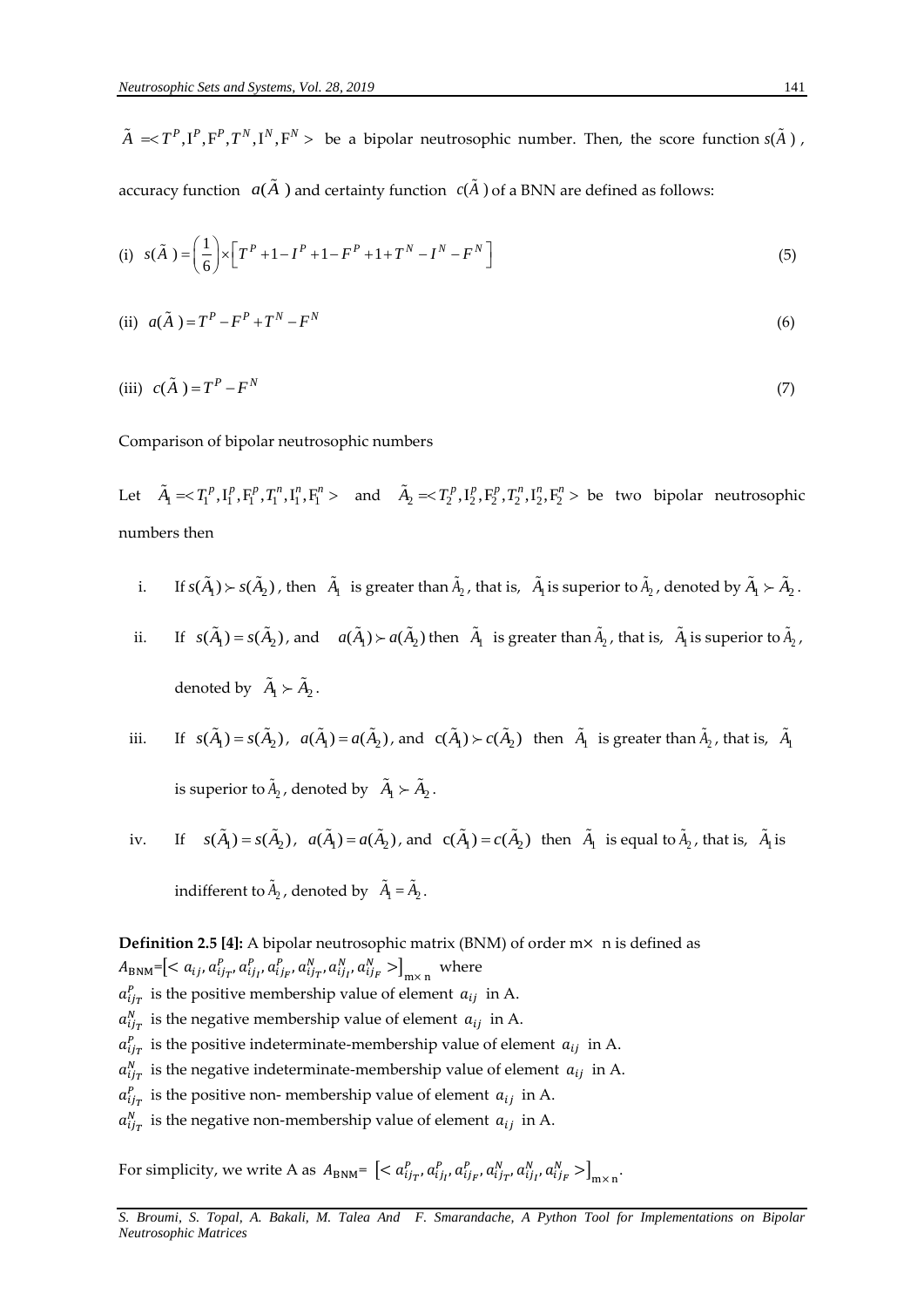be a bipolar neutrosophic number. Then, the score function  $s(A)$ , accuracy function  $a(\tilde{A})$  and certainty function  $c(\tilde{A})$  of a BNN are defined as follows:

(i) 
$$
s(\tilde{A}) = \left(\frac{1}{6}\right) \times \left[T^{P} + 1 - I^{P} + 1 - F^{P} + 1 + T^{N} - I^{N} - F^{N}\right]
$$
 (5)

(ii) 
$$
a(\tilde{A}) = T^P - F^P + T^N - F^N \tag{6}
$$

(iii) 
$$
c(\tilde{A}) = T^P - F^N
$$
 (7)

Comparison of bipolar neutrosophic numbers

Let  $\tilde{A}_1 = <\!T_1^p, I_1^p, F_1^p, T_1^n, I_1^n, F_1^n>$  and  $\tilde{A}_2 = <\!T_2^p, I_2^p, F_2^p, T_2^n, I_2^n, F_2^n>$  be two bipolar neutrosophic numbers then

- i. If  $s(A_1) > s(A_2)$ , then  $A_1$  is greater than  $A_2$ , that is,  $A_1$  is superior to  $A_2$ , denoted by  $A_1 > A_2$ .
- ii. If  $s(A_1) = s(A_2)$ , and  $a(A_1) \succ a(A_2)$  then  $A_1$  is greater than  $A_2$ , that is,  $A_1$  is superior to  $A_2$ , denoted by  $A_1 \succ A_2$ .
- iii. If  $s(A_1) = s(A_2)$ ,  $a(A_1) = a(A_2)$ , and  $c(A_1) > c(A_2)$  then  $A_1$  is greater than  $A_2$ , that is,  $A_1$ is superior to  $A_2$ , denoted by  $A_1 \succ A_2$ .
- iv. If  $s(A_1) = s(A_2)$ ,  $a(A_1) = a(A_2)$ , and  $c(A_1) = c(A_2)$  then  $A_1$  is equal to  $A_2$ , that is,  $A_1$  is indifferent to  $A_2$ , denoted by  $A_1 = A_2$ .

 $\tilde{A} \ll T^P, \Gamma^P, \Gamma^P, T^N, \Gamma^N, \Gamma^N > b$ <br>
accuracy function  $a(\tilde{A})$  and c<br>
(i)  $s(\tilde{A}) = \left(\frac{1}{6}\right) \times \left[T^P + 1 - I^P + 1\right]$ <br>
(ii)  $a(\tilde{A}) = T^P - F^P + T^N - F^N$ <br>
(iii)  $c(\tilde{A}) = T^P - F^N$ <br>
Comparison of bipolar neutross<br>
Let  $\tilde{$ **Definition 2.5 [4]:** A bipolar neutrosophic matrix (BNM) of order m× n is defined as  $A_{\text{BNM}} = \left[ \langle a_{ij}, a_{ij_T}^P, a_{ij_I}^P, a_{ij_F}^P, a_{ij_T}^N, a_{ij_I}^N, a_{ij_F}^N \rangle \right]_{\text{mx n}}$  where  $a_{ij}^P$  is the positive membership value of element  $a_{ij}$  in A.  $a_{ij}^N$  is the negative membership value of element  $a_{ij}$  in A.  $a_{ij}^P$  is the positive indeterminate-membership value of element  $a_{ij}$  in A.  $a_{ij}^N$  is the negative indeterminate-membership value of element  $a_{ij}$  in A.  $a_{ij}^p$  is the positive non- membership value of element  $a_{ij}$  in A.  $a_{ij}^N$  is the negative non-membership value of element  $a_{ij}$  in A.

For simplicity, we write A as  $A_{\text{BNM}} = \left[ \langle a_{ij_T}^p, a_{ij_I}^p, a_{ij_F}^p, a_{ij_T}^N, a_{ij_F}^N, a_{ij_F}^N \rangle \right]_{\text{mx n}}$ 

*S. Broumi, S. Topal, A. Bakali, M. Talea And F. Smarandache, A Python Tool for Implementations on Bipolar*  **Neutrosophic Matrices**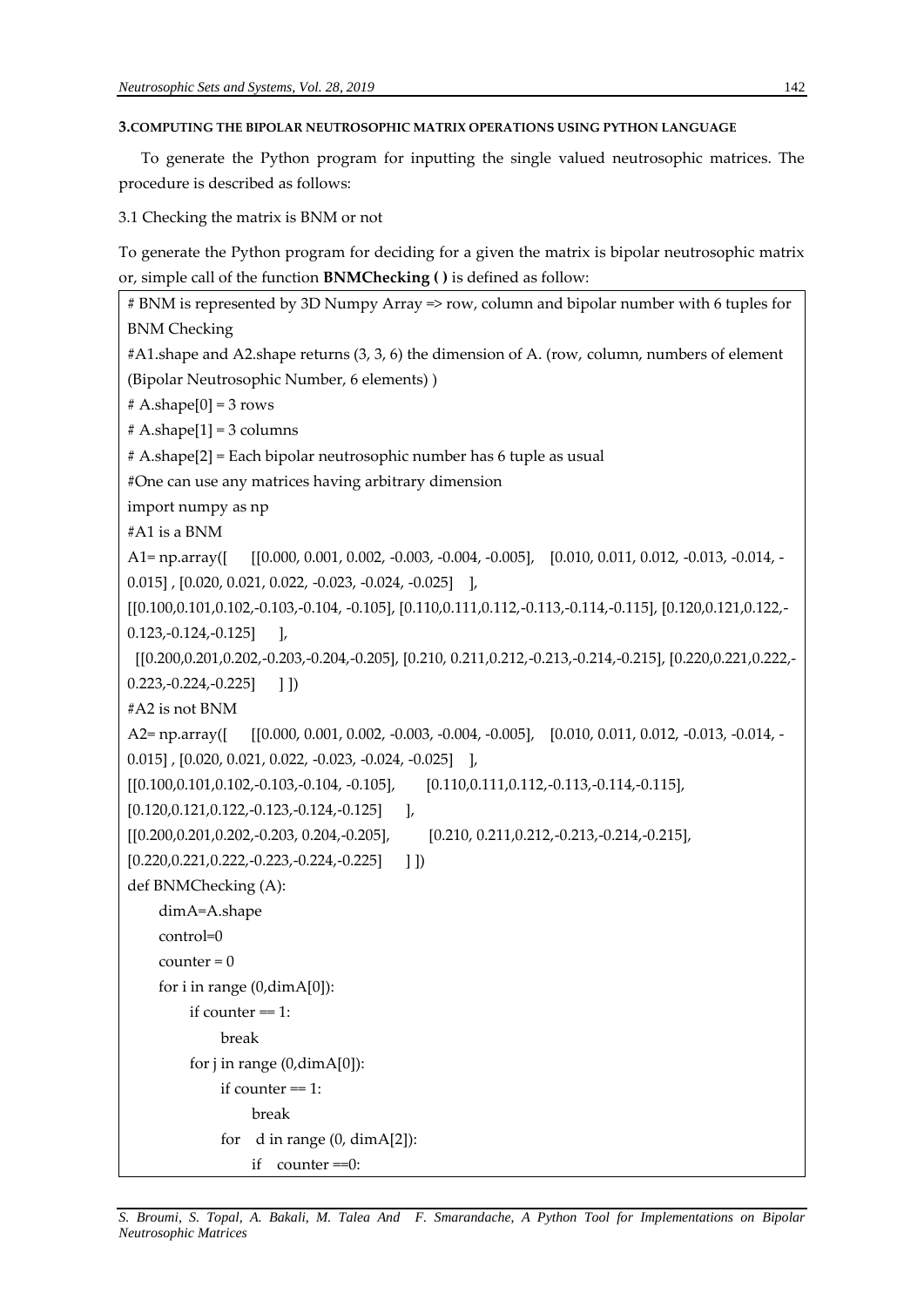## **3.COMPUTING THE BIPOLAR NEUTROSOPHIC MATRIX OPERATIONS USING PYTHON LANGUAGE**

To generate the Python program for inputting the single valued neutrosophic matrices. The procedure is described as follows:

3.1 Checking the matrix is BNM or not

To generate the Python program for deciding for a given the matrix is bipolar neutrosophic matrix or, simple call of the function **BNMChecking ( )** is defined as follow:

```
# BNM is represented by 3D Numpy Array => row, column and bipolar number with 6 tuples for 
BNM Checking
#A1.shape and A2.shape returns (3, 3, 6) the dimension of A. (row, column, numbers of element 
(Bipolar Neutrosophic Number, 6 elements) )
# A.shape[0] = 3 rows# A.shape[1] = 3 columns# A.shape[2] = Each bipolar neutrosophic number has 6 tuple as usual
#One can use any matrices having arbitrary dimension
import numpy as np
#A1 is a BNM
A1= np.array([ [[0.000, 0.001, 0.002, -0.003, -0.004, -0.005], [0.010, 0.011, 0.012, -0.013, -0.014, -
0.015] , [0.020, 0.021, 0.022, -0.023, -0.024, -0.025] ],
[[0.100,0.101,0.102,-0.103,-0.104, -0.105], [0.110,0.111,0.112,-0.113,-0.114,-0.115], [0.120,0.121,0.122,-
0.123,-0.124,-0.125]
 [[0.200,0.201,0.202,-0.203,-0.204,-0.205], [0.210, 0.211,0.212,-0.213,-0.214,-0.215], [0.220,0.221,0.222,-
(0.223,-0.224,-0.225] ]
#A2 is not BNM
A2= np.array([ [[0.000, 0.001, 0.002, -0.003, -0.004, -0.005], [0.010, 0.011, 0.012, -0.013, -0.014, -
0.015] , [0.020, 0.021, 0.022, -0.023, -0.024, -0.025] ],
[[0.100,0.101,0.102,-0.103,-0.104, -0.105], [0.110,0.111,0.112,-0.113,-0.114,-0.115], 
[0.120, 0.121, 0.122, -0.123, -0.124, -0.125] ],
[[0.200,0.201,0.202,-0.203, 0.204,-0.205], [0.210, 0.211,0.212,-0.213,-0.214,-0.215], 
[0.220, 0.221, 0.222, -0.223, -0.224, -0.225] ]
def BNMChecking (A):
     dimA=A.shape
     control=0
    counter = 0 for i in range (0,dimA[0]): 
         if counter == 1:
               break 
         for j in range (0, \text{dim}A[0]):
              if counter == 1:
                   break 
              for d in range (0, dimA[2]):
                   if counter ==0:
```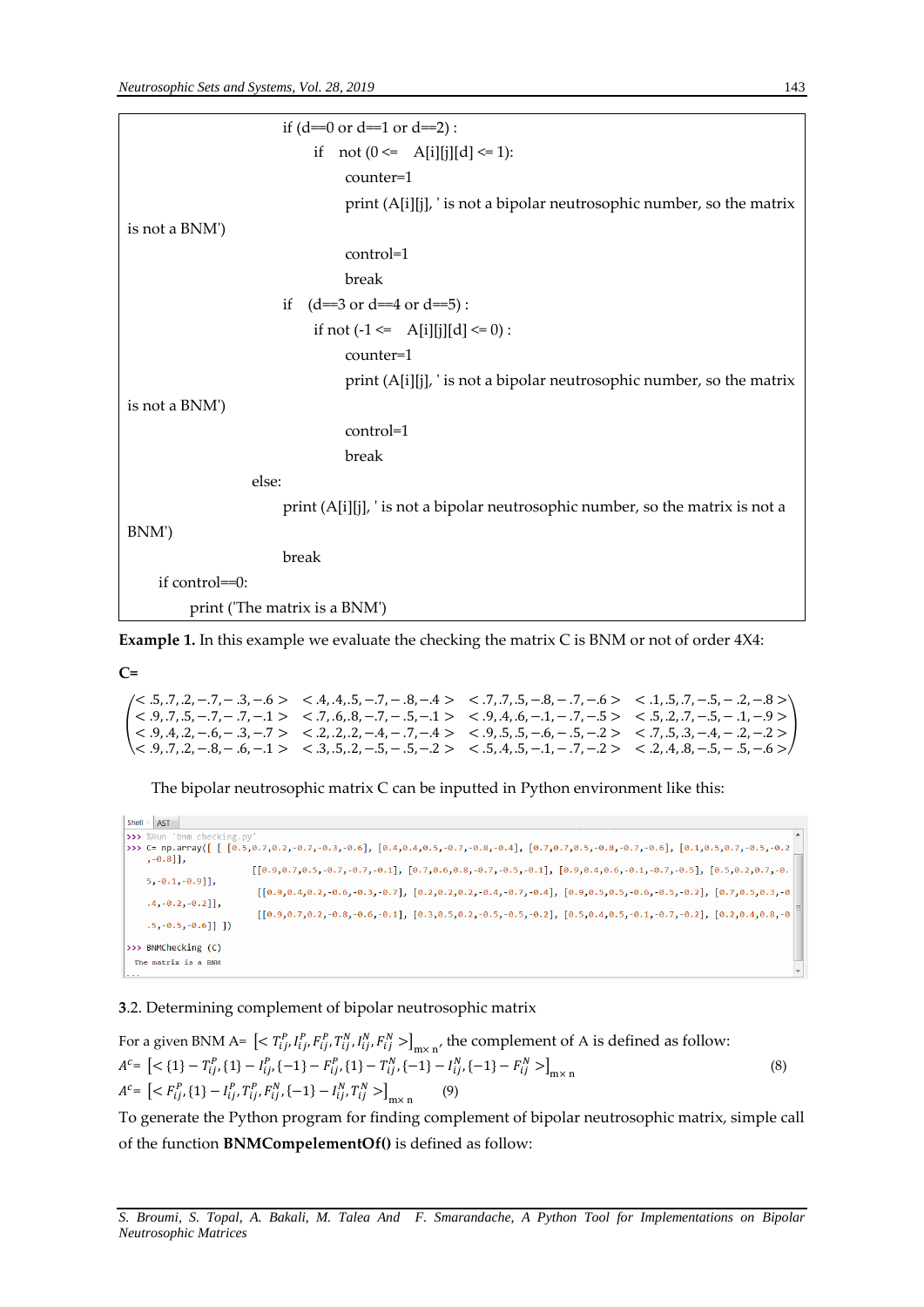| if $(d=0 \text{ or } d=1 \text{ or } d=2)$ :                                   |
|--------------------------------------------------------------------------------|
| if not $(0 \leq A[i][j][d] \leq 1)$ :                                          |
| counter=1                                                                      |
| print (A[i][j], ' is not a bipolar neutrosophic number, so the matrix          |
| is not a BNM')                                                                 |
| control=1                                                                      |
| break                                                                          |
| (d==3 or d==4 or d==5):<br>if                                                  |
| if not $(-1 \leq A[i][j][d] \leq 0)$ :                                         |
| counter=1                                                                      |
| print (A[i][j], ' is not a bipolar neutrosophic number, so the matrix          |
| is not a BNM')                                                                 |
| control=1                                                                      |
| break                                                                          |
| else:                                                                          |
| print (A[i][j], ' is not a bipolar neutrosophic number, so the matrix is not a |
| BNM')                                                                          |
| break                                                                          |
| if control==0:                                                                 |
| print ('The matrix is a BNM')                                                  |

**Example 1.** In this example we evaluate the checking the matrix C is BNM or not of order 4X4:

**C=**

 $\left\{\n \begin{array}{cccccc}\n < 9, .7, .5, -.7, -.7, -.7, -.7, -.6, .8, -.7, -.5, -.1 > < .9, .4, .6, -.1, -.7, -.5 > < .5, .2, .7, -.5, -.1, -.9 > < 0.4 & 2 & .6 & .2 & .2 & .2 & .2 & .4 & .7 & .4 & < & 0 & .5 & .5 & .6 & .5 & .2 & .2 & .2 & .2 & .2 & .2 & .2 &$  $\langle 5, .7, .2, -.7, -.3, -.6 \rangle$   $\langle 4, .4, .5, -.7, -.8, -.4 \rangle$   $\langle 7, .7, .5, -.8, -.7, -.6 \rangle$   $\langle 1, .5, .7, -.5, -.2, -.8 \rangle$ < .9, .4, .2, −.6, − .3, −.7 > < .2, .2, .2, −.4, − .7, −.4 > < .9, .5, .5, −.6, − .5, −.2 > < .7, .5, .3, −.4, − .2, −.2 >  $< 0.9, 0.7, 0.2, -0.8, -0.6, -0.1 >  $0.3, 0.5, 0.2, -0.5, -0.5, -0.2 >  $0.5, 0.4, 0.5, -0.1, -0.7, -0.2 >  $0.2, 0.4, 0.8, -0.5, -0.5, -0.6 > 0.2, 0.4, 0.2, -0.2 > 0.2, 0.4, 0.2, -0.2 > 0.2, 0.4, 0.2, -0.2 > 0.2, 0.4, 0.2, -0.2, -0.2, -0.2, -0.$$$$ )

The bipolar neutrosophic matrix C can be inputted in Python environment like this:

| Shell $\times$<br><b>AST</b>                                                                                                                                                                                                                                                                                                                                                                                                                                                                                                                                                                                                          |  |  |  |  |  |  |
|---------------------------------------------------------------------------------------------------------------------------------------------------------------------------------------------------------------------------------------------------------------------------------------------------------------------------------------------------------------------------------------------------------------------------------------------------------------------------------------------------------------------------------------------------------------------------------------------------------------------------------------|--|--|--|--|--|--|
| >>> %Run 'bnm checking.py'                                                                                                                                                                                                                                                                                                                                                                                                                                                                                                                                                                                                            |  |  |  |  |  |  |
| >>> C= np.array([[[0.5,0.7,0.2,-0.7,-0.3,-0.6], [0.4,0.4,0.5,-0.7,-0.8,-0.4], [0.7,0.7,0.5,-0.8,-0.7,-0.6], [0.1,0.5,0.7,-0.5,-0.2                                                                                                                                                                                                                                                                                                                                                                                                                                                                                                    |  |  |  |  |  |  |
| $, -0.8]$ ,<br>$(0.9, 0.7, 0.5, -0.7, -0.7, -0.1, 0.7, 0.6, 0.8, -0.7, -0.5, -0.1, 0.9, 0.4, 0.6, -0.1, -0.7, -0.5), (0.5, 0.2, 0.7, -0.5, 0.7, -0.5)$<br>$5, -0.1, -0.9$ ],<br>$(0.9, 0.4, 0.2, -0.6, -0.3, -0.7), [0.2, 0.2, 0.2, -0.4, -0.7, -0.4], [0.9, 0.5, 0.5, -0.6, -0.5, -0.2], [0.7, 0.5, 0.3, -0.5],$<br>$.4, -0.2, -0.2$ ],<br>$(0.9, 0.7, 0.2, -0.8, -0.6, -0.1, 0.8, -0.5, 0.5, 0.2, -0.5, -0.5, -0.2, 0.2, 0.4, 0.5, -0.1, -0.7, -0.2, 0.2, 0.4, 0.8, -0.2, 0.4, 0.5, 0.4, 0.5, 0.4, 0.5, 0.4, 0.5, 0.4, 0.5, 0.4, 0.5, 0.4, 0.5, 0.4, 0.5, 0.4, 0.5, 0.4, 0.5, 0.4,$<br>$.5, -0.5, -0.6$ ]]]<br>$>>$ BNMChecking (C) |  |  |  |  |  |  |
| The matrix is a BNM<br>متما                                                                                                                                                                                                                                                                                                                                                                                                                                                                                                                                                                                                           |  |  |  |  |  |  |

**3**.2. Determining complement of bipolar neutrosophic matrix

For a given BNM A=  $\left[ \langle T_{ij}^p, I_{ij}^p, F_{ij}^p, T_{ij}^N, I_{ij}^N, F_{ij}^N \rangle \right]_{m \times n'}$  the complement of A is defined as follow:  $A^{c} = \left[ \langle \{1\} - T_{ij}^{P}, \{1\} - I_{ij}^{P}, \{-1\} - F_{ij}^{P}, \{1\} - T_{ij}^{N}, \{-1\} - I_{ij}^{N}, \{-1\} - F_{ij}^{N} \rangle \right]_{m \times n}$  (8)  $A^{c} = \left[ \langle F_{ij}^{P}, \{1\} - I_{ij}^{P}, T_{ij}^{P}, F_{ij}^{N}, \{-1\} - I_{ij}^{N}, T_{ij}^{N} \rangle \right]_{m \times n}$ (9)

To generate the Python program for finding complement of bipolar neutrosophic matrix, simple call of the function **BNMCompelementOf()** is defined as follow: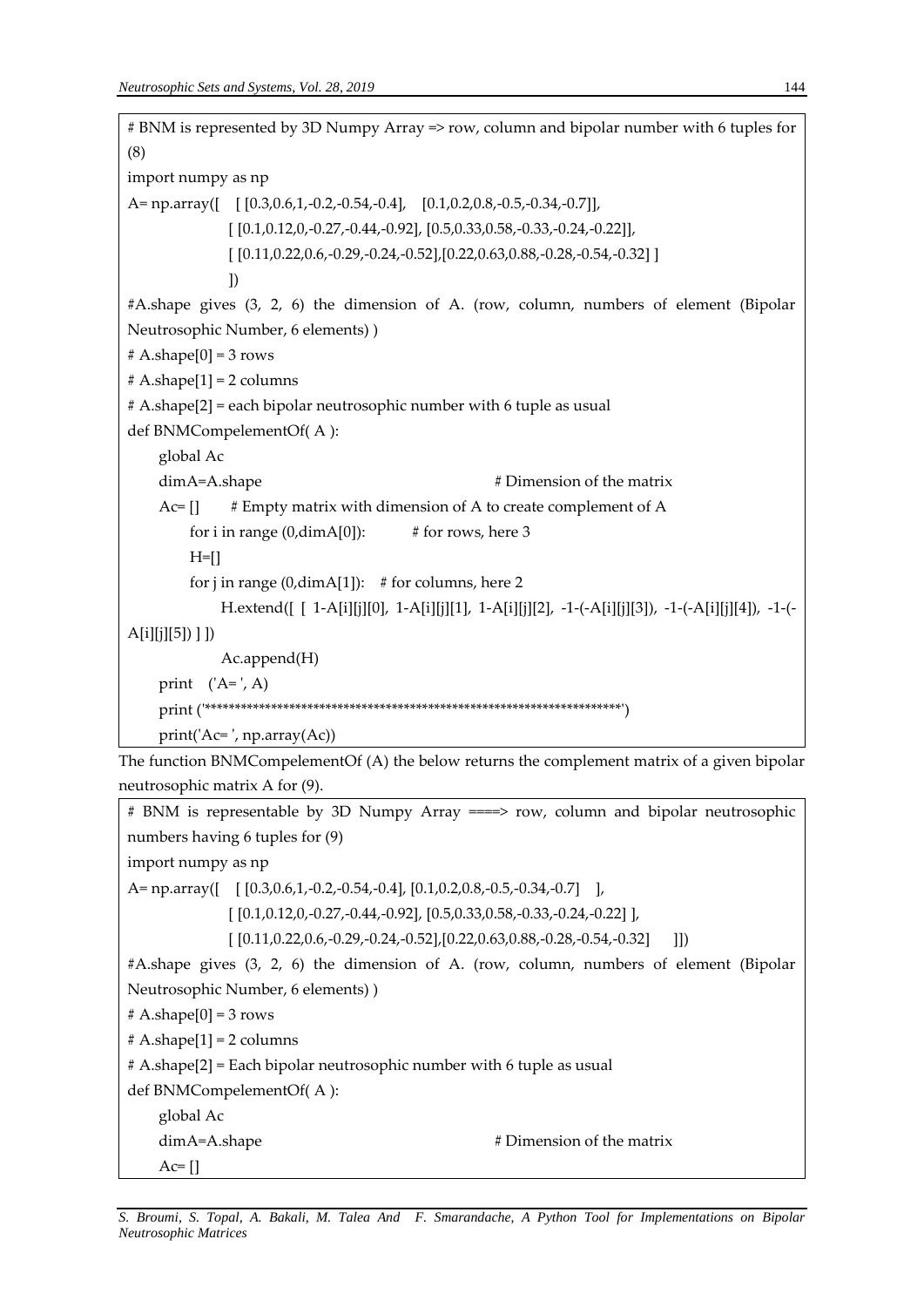```
# BNM is represented by 3D Numpy Array => row, column and bipolar number with 6 tuples for 
(8)
import numpy as np
A= np.array([ [ [0.3,0.6,1,-0.2,-0.54,-0.4], [0.1,0.2,0.8,-0.5,-0.34,-0.7]],
               [ [0.1,0.12,0,-0.27,-0.44,-0.92], [0.5,0.33,0.58,-0.33,-0.24,-0.22]],
               [ [0.11,0.22,0.6,-0.29,-0.24,-0.52],[0.22,0.63,0.88,-0.28,-0.54,-0.32] ]
 ])
#A.shape gives (3, 2, 6) the dimension of A. (row, column, numbers of element (Bipolar 
Neutrosophic Number, 6 elements) )
# A.shape[0] = 3 rows# A.shape[1] = 2 columns
# A.shape[2] = each bipolar neutrosophic number with 6 tuple as usual 
def BNMCompelementOf( A ):
     global Ac
    dimA=A.shape \# Dimension of the matrix
    Ac=[] # Empty matrix with dimension of A to create complement of A
        for i in range (0,\text{dimA}[0]): # for rows, here 3
        H=[]
        for j in range (0,dimA[1]): # for columns, here 2
              H.extend([ [ 1-A[i][j][0], 1-A[i][j][1], 1-A[i][j][2], -1-(-A[i][j][3]), -1-(-A[i][j][4]), -1-(-
A[i][j][5]) ] ])
              Ac.append(H)
    print (A=', A) print ('*********************************************************************')
     print('Ac= ', np.array(Ac))
```
The function BNMCompelementOf (A) the below returns the complement matrix of a given bipolar neutrosophic matrix A for (9).

# BNM is representable by 3D Numpy Array ====> row, column and bipolar neutrosophic numbers having 6 tuples for (9) import numpy as np A= np.array([ [ [0.3,0.6,1,-0.2,-0.54,-0.4], [0.1,0.2,0.8,-0.5,-0.34,-0.7] ], [ [0.1,0.12,0,-0.27,-0.44,-0.92], [0.5,0.33,0.58,-0.33,-0.24,-0.22] ],  $[ [0.11, 0.22, 0.6, -0.29, -0.24, -0.52], [0.22, 0.63, 0.88, -0.28, -0.54, -0.32] ] ]$ #A.shape gives (3, 2, 6) the dimension of A. (row, column, numbers of element (Bipolar Neutrosophic Number, 6 elements) )  $# A.shape[0] = 3 rows$  $# A.shape[1] = 2 columns$ # A.shape[2] = Each bipolar neutrosophic number with 6 tuple as usual def BNMCompelementOf( A ): global Ac dimA=A.shape  $\#$  Dimension of the matrix  $Ac=[]$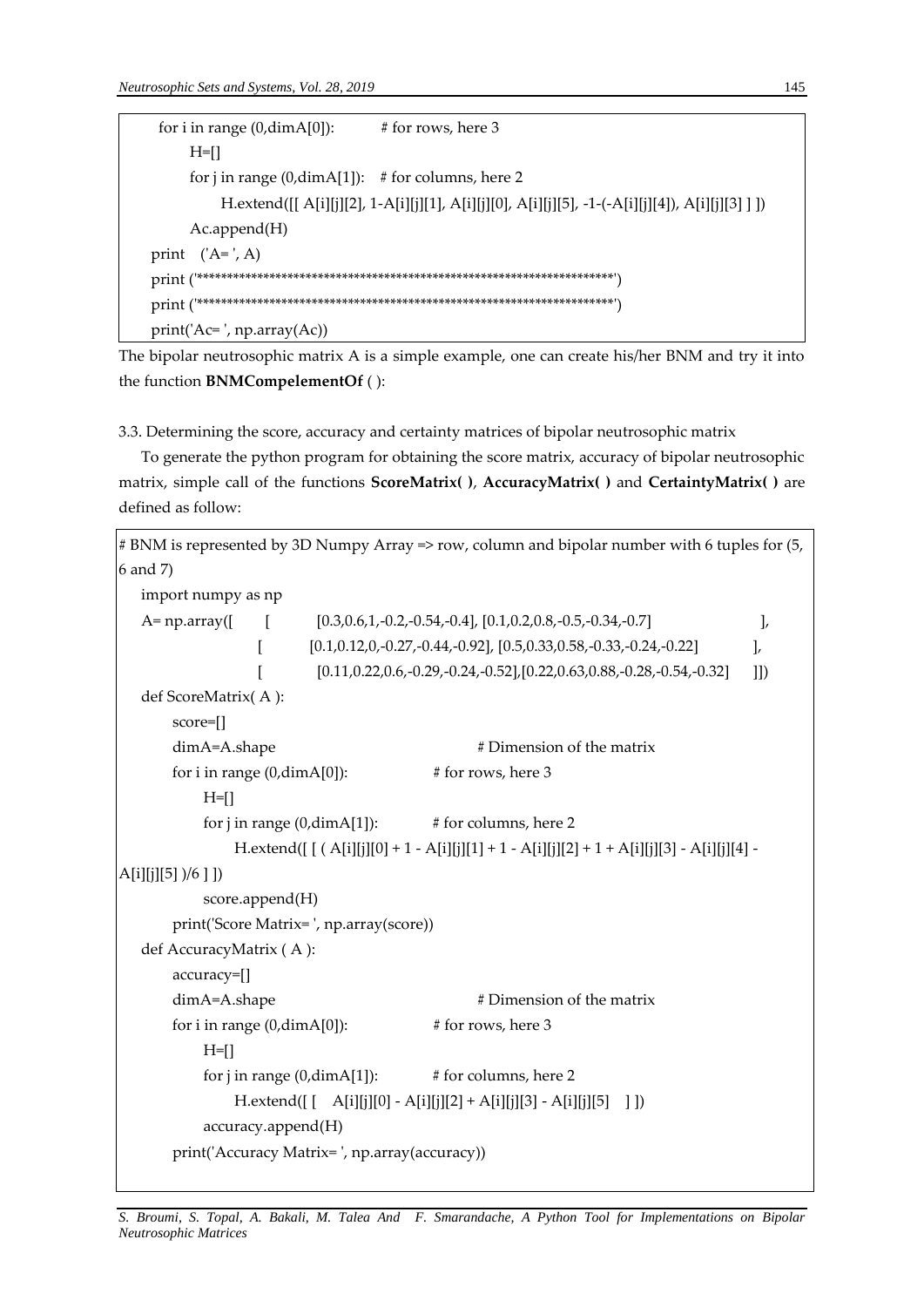```
for i in range (0, \text{dim}A[0]): # for rows, here 3
      H=[]
      for j in range (0,dimA[1]): # for columns, here 2
            H.extend([[ A[i][j][2], 1-A[i][j][1], A[i][j][0], A[i][j][5], -1-(-A[i][j][4]), A[i][j][3] ] ])
       Ac.append(H)
print (A=', A) print ('*********************************************************************')
 print ('*********************************************************************')
 print('Ac= ', np.array(Ac))
```
The bipolar neutrosophic matrix A is a simple example, one can create his/her BNM and try it into the function **BNMCompelementOf** ( ):

3.3. Determining the score, accuracy and certainty matrices of bipolar neutrosophic matrix

To generate the python program for obtaining the score matrix, accuracy of bipolar neutrosophic matrix, simple call of the functions **ScoreMatrix( )**, **AccuracyMatrix( )** and **CertaintyMatrix( )** are defined as follow:

```
# BNM is represented by 3D Numpy Array => row, column and bipolar number with 6 tuples for (5,
6 and 7)
   import numpy as np
   A= np.array([ [ [0.3,0.6,1,-0.2,-0.54,-0.4], [0.1,0.2,0.8,-0.5,-0.34,-0.7] \qquad \qquad ],
                   [0.1, 0.12, 0, -0.27, -0.44, -0.92], [0.5, 0.33, 0.58, -0.33, -0.24, -0.22][0.11, 0.22, 0.6, -0.29, -0.24, -0.52], [0.22, 0.63, 0.88, -0.28, -0.54, -0.32] ]])
   def ScoreMatrix( A ):
        score=[]
       dimA=A.shape \# Dimension of the matrix
       for i in range (0, \text{dim}A[0]): # for rows, here 3
           H=[]
            for j in range (0, \text{dimA}[1]): # for columns, here 2
                 H.extend([ [ ( A[i][j][0] + 1 - A[i][j][1] + 1 - A[i][j][2] + 1 + A[i][j][3] - A[i][j][4] -
A[i][j][5] )/6 ] ])
             score.append(H)
        print('Score Matrix= ', np.array(score))
   def AccuracyMatrix ( A ):
        accuracy=[]
       dimA=A.shape # Dimension of the matrix
       for i in range (0, \text{dim}A[0]): # for rows, here 3
           H=[]
            for j in range (0, \text{dimA}[1]): # for columns, here 2
                 H.extend([ [ A[i][j][0] - A[i][j][2] + A[i][j][3] - A[i][j][5] ] ])
             accuracy.append(H)
        print('Accuracy Matrix= ', np.array(accuracy))
```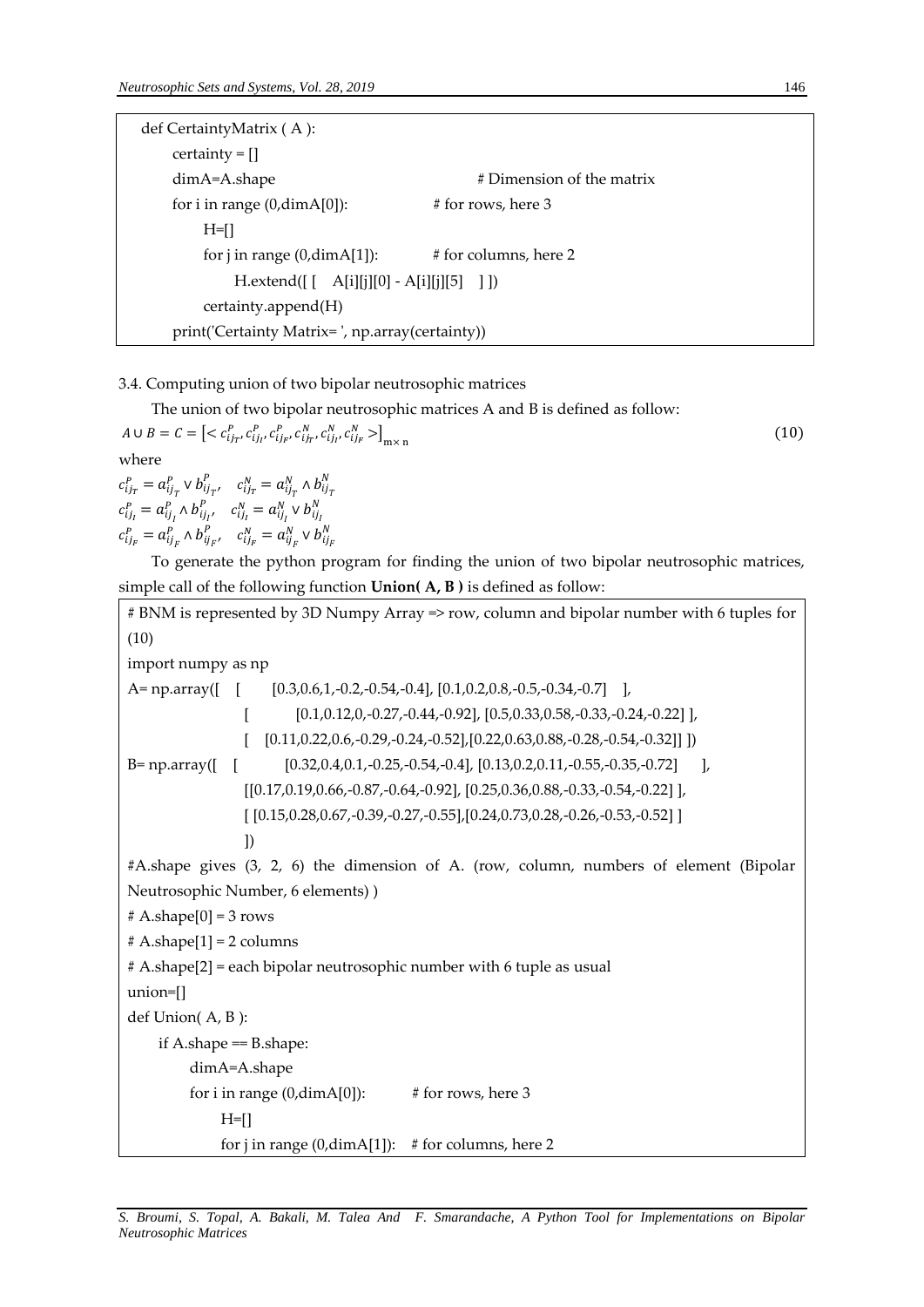| def CertaintyMatrix (A):                        |                           |  |  |
|-------------------------------------------------|---------------------------|--|--|
| $certainty = []$                                |                           |  |  |
| $dimA=A.shape$                                  | # Dimension of the matrix |  |  |
| for i in range $(0, \text{dim}A[0])$ :          | # for rows, here 3        |  |  |
| $H=II$                                          |                           |  |  |
| for j in range $(0, \text{dim} A[1])$ :         | # for columns, here 2     |  |  |
| $H. extend([ [ A[i][j][0] - A[i][j][5] ]])$     |                           |  |  |
| certainty.append(H)                             |                           |  |  |
| print('Certainty Matrix=', np.array(certainty)) |                           |  |  |

3.4. Computing union of two bipolar neutrosophic matrices

The union of two bipolar neutrosophic matrices A and B is defined as follow:

 $A \cup B = C = \left[ \langle c_{ij_T}^P, c_{ij_I}^P, c_{ij_F}^P, c_{ij_T}^N, c_{ij_I}^N, c_{ij_F}^N \rangle \right]_{\text{m} \times \text{n}}$  (10) where  $c_{ij_T}^P = a_{ij_T}^P \vee b_{ij_{T'}}^P$ ,  $c_{ij_T}^N = a_{ij_T}^N \wedge b_{ij_T}^N$  $c_{ij_l}^P = a_{ij_l}^P \wedge b_{ij_{l'}}^P \quad c_{ij_l}^N = a_{ij_l}^N \vee b_{ij_l}^N$  $c_{ij_F}^P = a_{ij_F}^P \wedge b_{ij_{F'}}^P$ ,  $c_{ij_F}^N = a_{ij_F}^N \vee b_{ij_F}^N$ 

To generate the python program for finding the union of two bipolar neutrosophic matrices, simple call of the following function **Union( A, B )** is defined as follow:

```
# BNM is represented by 3D Numpy Array => row, column and bipolar number with 6 tuples for 
(10)
import numpy as np
A= np.array(\begin{bmatrix} [0.3, 0.6, 1, -0.2, -0.54, -0.4], [0.1, 0.2, 0.8, -0.5, -0.34, -0.7], \end{bmatrix}[0.1, 0.12, 0.7, 0.27, 0.44, 0.92], [0.5, 0.33, 0.58, 0.33, 0.24, 0.22],[ [0.11,0.22,0.6,-0.29,-0.24,-0.52],[0.22, 0.63, 0.88, -0.28, -0.54, -0.32]] ])
B= np.array([ [ [0.32,0.4,0.1,-0.25,-0.54,-0.4], [0.13,0.2,0.11,-0.55,-0.35,-0.72] ],
                  [[0.17,0.19,0.66,-0.87,-0.64,-0.92], [0.25,0.36,0.88,-0.33,-0.54,-0.22] ],
                  [ [0.15,0.28,0.67,-0.39,-0.27,-0.55],[0.24,0.73,0.28,-0.26,-0.53,-0.52] ]
 ])
#A.shape gives (3, 2, 6) the dimension of A. (row, column, numbers of element (Bipolar 
Neutrosophic Number, 6 elements) )
# A.shape[0] = 3 rows# A.shape[1] = 2 columns
# A.shape[2] = each bipolar neutrosophic number with 6 tuple as usual
union=[] 
def Union( A, B ):
    if A.shape = B.shape:
          dimA=A.shape
         for i in range (0, \text{dimA}[0]): # for rows, here 3
              H=[]
              for j in range (0,dimA[1]): # for columns, here 2
```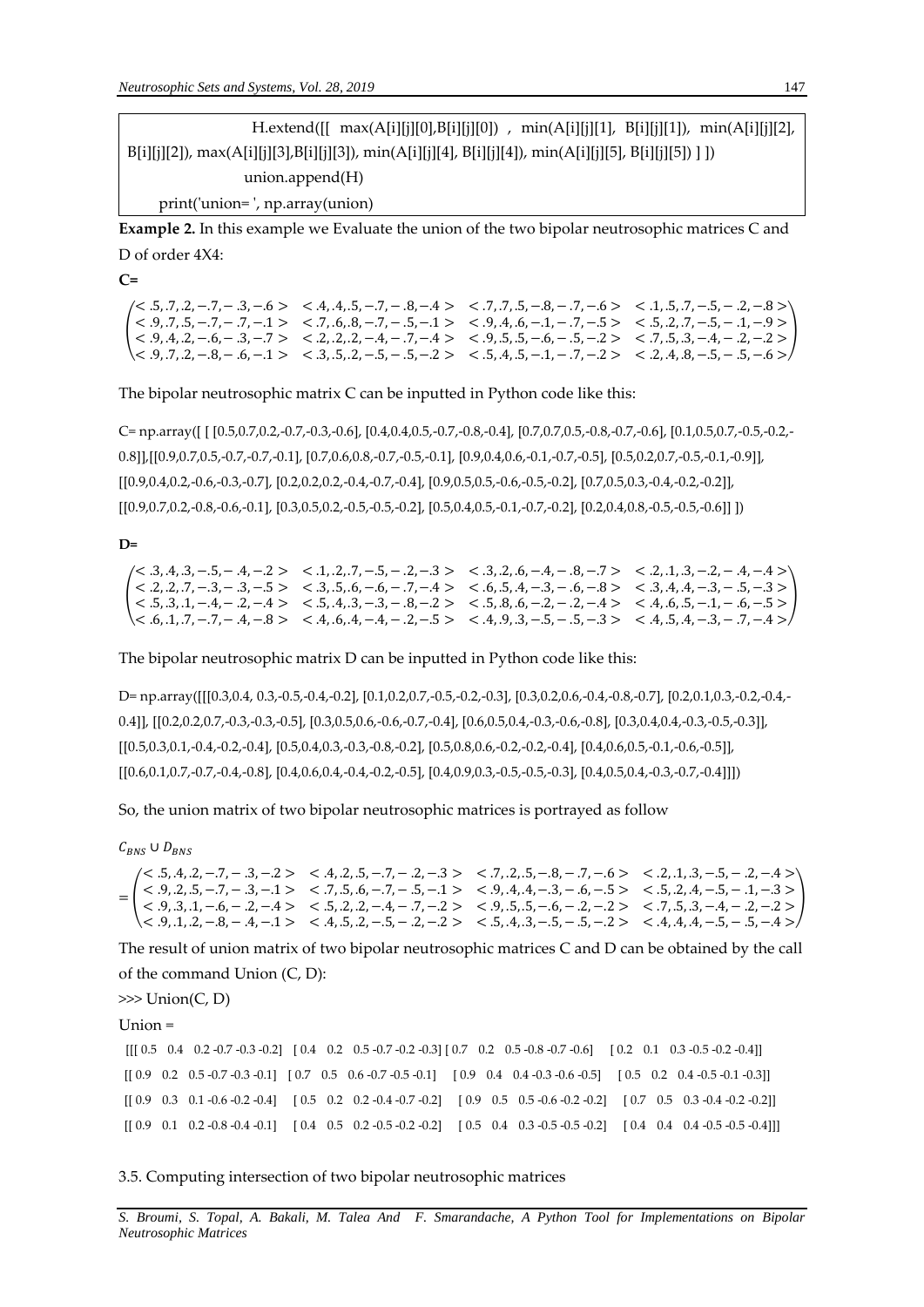$H.$ extend( $[[ \, max(A[i][j][0],B[i][j][0]) \, , \, min(A[i][j][1], B[i][j][1]), \, min(A[i][j][2],$ B[i][j][2]), max(A[i][j][3],B[i][j][3]), min(A[i][j][4], B[i][j][4]), min(A[i][j][5], B[i][j][5]) ] ]) union.append(H) print('union= ', np.array(union)

**Example 2.** In this example we Evaluate the union of the two bipolar neutrosophic matrices C and D of order 4X4:

**C=**

( < .9, .7, .5, −.7, − .7, −.1 > < .7, .6, .8, −.7, − .5, −.1 > < .9, .4, .6, −.1, − .7, −.5 > < .5, .2, .7, −.5, − .1, −.9 >  $\alpha$   $<$  .5, .7, .2, -.7, - .3, -.6 >  $\alpha$   $<$  .4, .4, .5, -.7, - .8, -.4 >  $\alpha$   $<$  .7, .7, .5, -.8, -.7, -.6 >  $\alpha$  .1, .5, .7, -.5, - .2, -.8 > < .9, .4, .2, −.6, − .3, −.7 > < .2, .2, .2, −.4, − .7, −.4 > < .9, .5, .5, −.6, − .5, −.2 > < .7, .5, .3, −.4, − .2, −.2 >  $< 0.9, 0.7, 0.2, -0.8, -0.6, -0.1 >  $0.3, 0.5, 0.2, -0.5, -0.5, -0.2 >  $0.5, 0.4, 0.5, -0.1, -0.7, -0.2 >  $0.2, 0.4, 0.8, -0.5, -0.5, -0.6 > 0.2, 0.4, 0.2, -0.2 > 0.2, 0.4, 0.2, -0.2 > 0.2, 0.4, 0.2, -0.2 > 0.2, 0.4, 0.2, -0.2, -0.2, -0.2, -0.$$$$ )

The bipolar neutrosophic matrix C can be inputted in Python code like this:

C= np.array([ [ [0.5,0.7,0.2,-0.7,-0.3,-0.6], [0.4,0.4,0.5,-0.7,-0.8,-0.4], [0.7,0.7,0.5,-0.8,-0.7,-0.6], [0.1,0.5,0.7,-0.5,-0.2,- 0.8]],[[0.9,0.7,0.5,-0.7,-0.7,-0.1], [0.7,0.6,0.8,-0.7,-0.5,-0.1], [0.9,0.4,0.6,-0.1,-0.7,-0.5], [0.5,0.2,0.7,-0.5,-0.1,-0.9]], [[0.9,0.4,0.2,-0.6,-0.3,-0.7], [0.2,0.2,0.2,-0.4,-0.7,-0.4], [0.9,0.5,0.5,-0.6,-0.5,-0.2], [0.7,0.5,0.3,-0.4,-0.2,-0.2]], [[0.9,0.7,0.2,-0.8,-0.6,-0.1], [0.3,0.5,0.2,-0.5,-0.5,-0.2], [0.5,0.4,0.5,-0.1,-0.7,-0.2], [0.2,0.4,0.8,-0.5,-0.5,-0.6]] ])

**D=**

 $\left\{\n\begin{array}{ccc}\n\langle 1, 2, 2, 2, 7, -3, -3, -3, -5\n\end{array}\n\right\}\n\leq 3, 3, 5, 6, -6, -7, -4\n\leq 6, 6, 5, 4, -3, -3, -6, -8\n\leq 3, 4, 4, -3, -3, -5, -3\n\leq 2, 4, 6, 5, 4, -3, -1, 6\n\end{array}\n\right\}$  $\langle 5, 3, 4, 3, -5, -4, -2 \rangle$   $\langle 1, 2, 7, -5, -2, -3 \rangle$   $\langle 3, 2, 6, -4, -8, -7 \rangle$   $\langle 2, 1, 3, -2, -4, -4 \rangle$ (((((((((((((((((()))))) (((())) ((())) ((())) ((()) (()) (()) (()) (()) (()) (()) (()) (()) (()) (()) (()) (()) (()) (()) (()) (()) (()) (()) (()) (()) (()) (()) (()) (()) (()) (()) (()) (()) (()) (()) (()) (()) (()) (()  $\langle 6, .1, .7, -.7, -.4, -.8 \rangle$   $\langle 4, .6, .4, -.4, -.2, -.5 \rangle$   $\langle 4, .9, .3, -.5, -.5, -.3 \rangle$   $\langle 4, .5, .4, -.3, -.7, -.4 \rangle$ 

The bipolar neutrosophic matrix D can be inputted in Python code like this:

D= np.array([[[0.3,0.4, 0.3,-0.5,-0.4,-0.2], [0.1,0.2,0.7,-0.5,-0.2,-0.3], [0.3,0.2,0.6,-0.4,-0.8,-0.7], [0.2,0.1,0.3,-0.2,-0.4,- 0.4]], [[0.2,0.2,0.7,-0.3,-0.3,-0.5], [0.3,0.5,0.6,-0.6,-0.7,-0.4], [0.6,0.5,0.4,-0.3,-0.6,-0.8], [0.3,0.4,0.4,-0.3,-0.5,-0.3]], [[0.5,0.3,0.1,-0.4,-0.2,-0.4], [0.5,0.4,0.3,-0.3,-0.8,-0.2], [0.5,0.8,0.6,-0.2,-0.2,-0.4], [0.4,0.6,0.5,-0.1,-0.6,-0.5]],  $[[0.6,0.1,0.7,-0.7,-0.4,-0.8], [0.4,0.6,0.4,-0.4,-0.2,-0.5], [0.4,0.9,0.3,-0.5,-0.5,-0.3], [0.4,0.5,0.4,-0.3,-0.7,-0.4]]])$ 

So, the union matrix of two bipolar neutrosophic matrices is portrayed as follow

 $C_{BNS} \cup D_{BNS}$ 

= ( < .9, .2, .5, −.7, − .3, −.1 > < .7, .5, .6, −.7, − .5, −.1 > < .9, .4, .4, −.3, − .6, −.5 > < .5, .2, .4, −.5, − .1, −.3 >  $\langle 5, 4, 2, -7, -3, -2 \rangle$   $\langle 4, 2, 5, -7, -2, -3 \rangle$   $\langle 7, 2, 5, -8, -7, -6 \rangle$   $\langle 2, 1, 3, -5, -2, -4 \rangle$ < .9, .3, .1, −.6, − .2, −.4 > < .5, .2, .2, −.4, − .7, −.2 > < .9, .5, .5, −.6, − .2, −.2 > < .7, .5, .3, −.4, − .2, −.2 > < .9, .1, .2, −.8, − .4, −.1 > < .4, .5, .2, −.5, − .2, −.2 > < .5, .4, .3, −.5, − .5, −.2 > < .4, .4, .4, −.5, − .5, −.4 > )

The result of union matrix of two bipolar neutrosophic matrices C and D can be obtained by the call of the command Union (C, D):

>>> Union(C, D)

Union =

 $[[ [ 0.5 \quad 0.4 \quad 0.2 \quad -0.7 \quad -0.3 \quad -0.2]$   $[ 0.4 \quad 0.2 \quad 0.5 \quad -0.7 \quad -0.2 \quad -0.3]$   $[ 0.7 \quad 0.2 \quad 0.5 \quad -0.8 \quad -0.7 \quad -0.6]$   $[ 0.2 \quad 0.1 \quad 0.3 \quad -0.5 \quad -0.2 \quad -0.4]$  $\begin{bmatrix} 0.9 & 0.2 & 0.5 & -0.7 & -0.3 & -0.1 \end{bmatrix} \quad \begin{bmatrix} 0.7 & 0.5 & 0.6 & -0.7 & -0.5 & -0.1 \end{bmatrix} \quad \begin{bmatrix} 0.9 & 0.4 & 0.4 & -0.3 & -0.6 & -0.5 & 0 \end{bmatrix} \quad \begin{bmatrix} 0.5 & 0.2 & 0.4 & -0.5 & -0.1 & -0.3 \end{bmatrix}$ [[ 0.9 0.3 0.1 -0.6 -0.2 -0.4] [ 0.5 0.2 0.2 -0.4 -0.7 -0.2] [ 0.9 0.5 0.5 -0.6 -0.2 -0.2] [ 0.7 0.5 0.3 -0.4 -0.2 -0.2]] [[ 0.9 0.1 0.2 -0.8 -0.4 -0.1] [ 0.4 0.5 0.2 -0.5 -0.2 -0.2] [ 0.5 0.4 0.3 -0.5 -0.5 -0.2] [ 0.4 0.4 0.4 -0.5 -0.5 -0.4]]]

3.5. Computing intersection of two bipolar neutrosophic matrices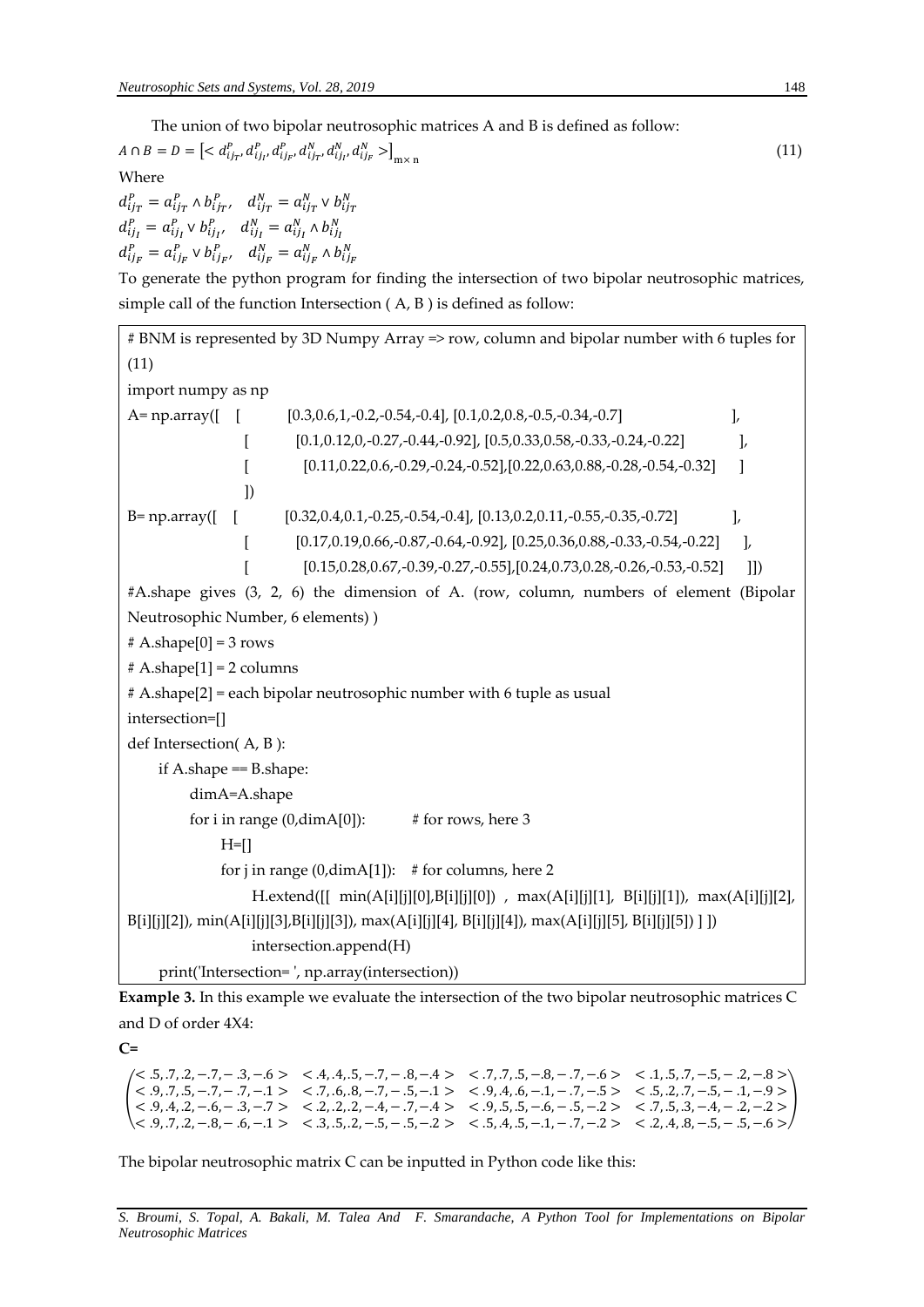The union of two bipolar neutrosophic matrices A and B is defined as follow:

 $A \cap B = D = \left[ \langle d_{ij_T}^P, d_{ij_I}^P, d_{ij_F}^P, d_{ij_T}^N, d_{ij_I}^N, d_{ij_F}^N \rangle \right]_{m \times n}$ (11)

Where

 $d_{ij_T}^P = a_{ij_T}^P \wedge b_{ij_{T'}}^P$ ,  $d_{ij_T}^N = a_{ij_T}^N \vee b_{ij_T}^N$  $d_{ij}^P = a_{ij}^P \vee b_{ij}^P$ ,  $d_{ij}^N = a_{ij}^N \wedge b_{ij}^N$  $d_{ij_F}^P = a_{ij_F}^P \vee b_{ij_F}^P, \quad d_{ij_F}^N = a_{ij_F}^N \wedge b_{ij_F}^N$ 

To generate the python program for finding the intersection of two bipolar neutrosophic matrices, simple call of the function Intersection ( A, B ) is defined as follow:

# BNM is represented by 3D Numpy Array => row, column and bipolar number with 6 tuples for (11) import numpy as np A= np.array([ [ [0.3,0.6,1,-0.2,-0.54,-0.4], [0.1,0.2,0.8,-0.5,-0.34,-0.7]  $\qquad \qquad$  ],  $[0.1, 0.12, 0, -0.27, -0.44, -0.92], [0.5, 0.33, 0.58, -0.33, -0.24, -0.22]$  $[0.11, 0.22, 0.6, -0.29, -0.24, -0.52], [0.22, 0.63, 0.88, -0.28, -0.54, -0.32]$  ]) B= np.array([ [ [0.32,0.4,0.1,-0.25,-0.54,-0.4], [0.13,0.2,0.11,-0.55,-0.35,-0.72] ],  $[0.17, 0.19, 0.66, -0.87, -0.64, -0.92]$ ,  $[0.25, 0.36, 0.88, -0.33, -0.54, -0.22]$  ],  $[0.15, 0.28, 0.67, -0.39, -0.27, -0.55], [0.24, 0.73, 0.28, -0.26, -0.53, -0.52]$  ]]) #A.shape gives (3, 2, 6) the dimension of A. (row, column, numbers of element (Bipolar Neutrosophic Number, 6 elements) )  $# A.shape[0] = 3 rows$  $# A.shape[1] = 2 columns$ # A.shape[2] = each bipolar neutrosophic number with 6 tuple as usual intersection=[] def Intersection( A, B ): if A.shape == B.shape: dimA=A.shape for i in range  $(0, \text{dimA}[0])$ : # for rows, here 3  $H=$ [] for j in range  $(0, \text{dim }A[1])$ : # for columns, here 2 H.extend([[ min(A[i][j][0],B[i][j][0]) , max(A[i][j][1], B[i][j][1]), max(A[i][j][2], B[i][j][2]), min(A[i][j][3],B[i][j][3]), max(A[i][j][4], B[i][j][4]), max(A[i][j][5], B[i][j][5]) ] ]) intersection.append(H) print('Intersection= ', np.array(intersection))

**Example 3.** In this example we evaluate the intersection of the two bipolar neutrosophic matrices C and D of order 4X4:

**C=**

 $\left\{\n \begin{array}{cccccc}\n < 9, .7, .5, -.7, -.7, -.7, -.7, -.6, .8, -.7, -.5, -.1 > < .9, .4, .6, -.1, -.7, -.5 > < .5, .2, .7, -.5, -.1, -.9 > < 0.4 & 2 & .6 & .2 & .2 & .2 & .2 & .4 & .7 & .4 & < & 0 & .5 & .5 & .6 & .5 & .2 & .2 & .2 & .2 & .2 & .2 & .2 &$  $\langle 5, .7, .2, -.7, -.3, -.6 \rangle$   $\langle 4, .4, .5, -.7, -.8, -.4 \rangle$   $\langle 7, .7, .5, -.8, -.7, -.6 \rangle$   $\langle 1, .5, .7, -.5, -.2, -.8 \rangle$ < .9, .4, .2, −.6, − .3, −.7 > < .2, .2, .2, −.4, − .7, −.4 > < .9, .5, .5, −.6, − .5, −.2 > < .7, .5, .3, −.4, − .2, −.2 >  $< 0.9, 0.7, 0.2, -0.8, -0.6, -0.1 >  $0.3, 0.5, 0.2, -0.5, -0.5, -0.2 >  $0.5, 0.4, 0.5, -0.1, -0.7, -0.2 >  $0.2, 0.4, 0.8, -0.5, -0.5, -0.6 > 0.2, 0.4, 0.2, -0.2 > 0.2, 0.4, 0.2, -0.2 > 0.2, 0.4, 0.2, -0.2 > 0.2, 0.4, 0.2, -0.2, -0.2, -0.2, -0.$$$$ )

The bipolar neutrosophic matrix C can be inputted in Python code like this: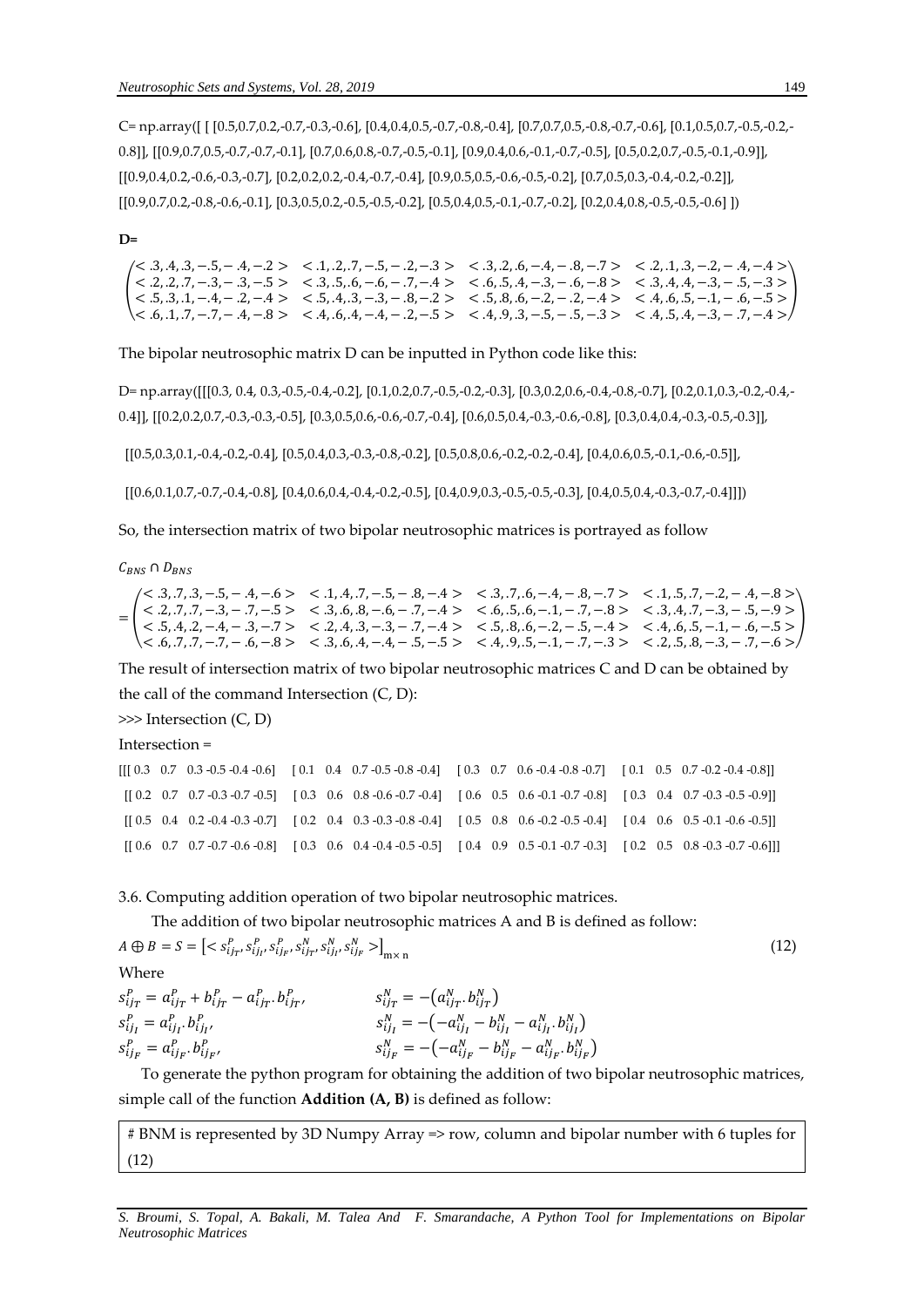C= np.array([ [ [0.5,0.7,0.2,-0.7,-0.3,-0.6], [0.4,0.4,0.5,-0.7,-0.8,-0.4], [0.7,0.7,0.5,-0.8,-0.7,-0.6], [0.1,0.5,0.7,-0.5,-0.2,- 0.8]], [[0.9,0.7,0.5,-0.7,-0.7,-0.1], [0.7,0.6,0.8,-0.7,-0.5,-0.1], [0.9,0.4,0.6,-0.1,-0.7,-0.5], [0.5,0.2,0.7,-0.5,-0.1,-0.9]], [[0.9,0.4,0.2,-0.6,-0.3,-0.7], [0.2,0.2,0.2,-0.4,-0.7,-0.4], [0.9,0.5,0.5,-0.6,-0.5,-0.2], [0.7,0.5,0.3,-0.4,-0.2,-0.2]], [[0.9,0.7,0.2,-0.8,-0.6,-0.1], [0.3,0.5,0.2,-0.5,-0.5,-0.2], [0.5,0.4,0.5,-0.1,-0.7,-0.2], [0.2,0.4,0.8,-0.5,-0.5,-0.6] ])

#### **D=**

 $\left\{\n\begin{array}{ccc}\n\langle 1, 2, 2, 2, 7, -3, -3, -3, -5\n\end{array}\n\right\}\n\leq 3, 3, 5, 6, -6, -7, -4\n\leq 6, 6, 5, 4, -3, -3, -6, -8\n\leq 3, 4, 4, -3, -3, -5, -3\n\leq 2, 4, 6, 5, 4, -3, -1, 6\n\end{array}\n\right\}$  $\langle 3, 4, 3, -5, -4, -2 \rangle$   $\langle 1, 2, 7, -5, -3 \rangle$   $\langle 3, 2, 6, -4, -3, -7 \rangle$   $\langle 2, 1, 3, -2, -4, -4 \rangle$ < .5, .3, .1, −.4, − .2, −.4 > < .5, .4, .3, −.3, − .8, −.2 > < .5, .8, .6, −.2, − .2, −.4 > < .4, .6, .5, −.1, − .6, −.5 > < .6, .1, .7, −.7, − .4, −.8 > < .4, .6, .4, −.4, − .2, −.5 > < .4, .9, .3, −.5, − .5, −.3 > < .4, .5, .4, −.3, − .7, −.4 > )

The bipolar neutrosophic matrix D can be inputted in Python code like this:

D= np.array([[[0.3, 0.4, 0.3,-0.5,-0.4,-0.2], [0.1,0.2,0.7,-0.5,-0.2,-0.3], [0.3,0.2,0.6,-0.4,-0.8,-0.7], [0.2,0.1,0.3,-0.2,-0.4,- 0.4]], [[0.2,0.2,0.7,-0.3,-0.3,-0.5], [0.3,0.5,0.6,-0.6,-0.7,-0.4], [0.6,0.5,0.4,-0.3,-0.6,-0.8], [0.3,0.4,0.4,-0.3,-0.5,-0.3]],

[[0.5,0.3,0.1,-0.4,-0.2,-0.4], [0.5,0.4,0.3,-0.3,-0.8,-0.2], [0.5,0.8,0.6,-0.2,-0.2,-0.4], [0.4,0.6,0.5,-0.1,-0.6,-0.5]],

[[0.6,0.1,0.7,-0.7,-0.4,-0.8], [0.4,0.6,0.4,-0.4,-0.2,-0.5], [0.4,0.9,0.3,-0.5,-0.5,-0.3], [0.4,0.5,0.4,-0.3,-0.7,-0.4]]])

So, the intersection matrix of two bipolar neutrosophic matrices is portrayed as follow

 $C_{BNS} \cap D_{BNS}$ 

= (  $< 0.3, 0.7, 0.3, -0.5, -0.4, -0.5$   $< 0.1, 0.4, 0.7, -0.5, -0.8, -0.4$   $< 0.3, 0.7, 0.6, -0.4, -0.8, -0.7$   $< 0.1, 0.5, 0.7, -0.2, -0.4, -0.8$  $< 0.2, 0.7, 0.7, -0.3, -0.7, -0.5 > 0.3, 0.6, 0.8, -0.6, -0.7, -0.4 > 0.6, 0.5, 0.6, -0.1, -0.7, -0.8 > 0.3, 0.4, 0.7, -0.3, -0.5, -0.9 > 0.00, -0.00, -0.00, 0.00, 0.00, 0.00, 0.00, 0.00, 0.00, 0.00, 0.00, 0.00, 0.00, 0.00, 0.00, 0.00, 0.$  $< 0.5, 0.4, 0.2, -0.4, -0.3, -0.7 > < 0.2, 0.4, 0.3, -0.3, -0.7, -0.4 > < 0.5, 0.8, 0.6, -0.2, -0.5, -0.4 > < 0.4, 0.6, 0.5, -0.1, -0.6, -0.5 >$  $< 0.7, -7, -7, -1, -1, -8 > 0.3, 0.6, 0.4, -0.4, -0.5, -0.5 > 0.4, 0.9, 0.5, -0.1, -0.7, -0.3 > 0.2, 0.5, 0.8, -0.3, -0.7, -0.6 > 0.4, 0.4, 0.5, -0.1, -0.7, -0.3 > 0.4, 0.5, -0.1, -0.3 > 0.4, 0.5, -0.5 < 0.5, 0.5, -0.5 < 0.5, 0.5, -0.5$ )

The result of intersection matrix of two bipolar neutrosophic matrices C and D can be obtained by the call of the command Intersection (C, D):

>>> Intersection (C, D)

Intersection =

```
[[[ 0.3 0.7 0.3 -0.5 -0.4 -0.6] [ 0.1 0.4 0.7 -0.5 -0.8 -0.4] [ 0.3 0.7 0.6 -0.4 -0.8 -0.7] [ 0.1 0.5 0.7 -0.2 -0.4 -0.8]]
[[ 0.2 0.7 0.7 -0.3 -0.7 -0.5] [ 0.3 0.6 0.8 -0.6 -0.7 -0.4] [ 0.6 0.5 0.6 -0.1 -0.7 -0.8] [ 0.3 0.4 0.7 -0.3 -0.5 -0.9]]
 [[ 0.5 0.4 0.2 -0.4 -0.3 -0.7] [ 0.2 0.4 0.3 -0.3 -0.8 -0.4] [ 0.5 0.8 0.6 -0.2 -0.5 -0.4] [ 0.4 0.6 0.5 -0.1 -0.6 -0.5]]
 [[ 0.6 0.7 0.7 -0.7 -0.6 -0.8] [ 0.3 0.6 0.4 -0.4 -0.5 -0.5] [ 0.4 0.9 0.5 -0.1 -0.7 -0.3] [ 0.2 0.5 0.8 -0.3 -0.7 -0.6]]]
```
3.6. Computing addition operation of two bipolar neutrosophic matrices.

The addition of two bipolar neutrosophic matrices A and B is defined as follow:

 $A \bigoplus B = S = \left[ \langle s_{ij_T}^P, s_{ij_I}^P, s_{ij_F}^P, s_{ij_T}^N, s_{ij_I}^N, s_{ij_F}^N \rangle \right]_{m \times n}$  $(12)$ Where

 $s_{ijT}^P = a_{ijT}^P + b_{ijT}^P - a_{ijT}^P \cdot b_{ijT}^P$ ,  $s_{ijT}^N = -(a_{ijT}^N \cdot b_{ijT}^N)$  $s_{ij}^P = a_{ij}^P b_{ij}^P$ ,  $s_{ijI}^N = -(-a_{ijI}^N - b_{ijI}^N - a_{ijI}^N, b_{ijI}^N)$  $s_{ij_F}^P = a_{ij_F}^P.b_{ij_F}^P$ ,  $s_{ij_F}^N = -(-a_{ij_F}^N - b_{ij_F}^N - a_{ij_F}^N, b_{ij_F}^N)$ 

To generate the python program for obtaining the addition of two bipolar neutrosophic matrices, simple call of the function **Addition (A, B)** is defined as follow:

# BNM is represented by 3D Numpy Array => row, column and bipolar number with 6 tuples for (12)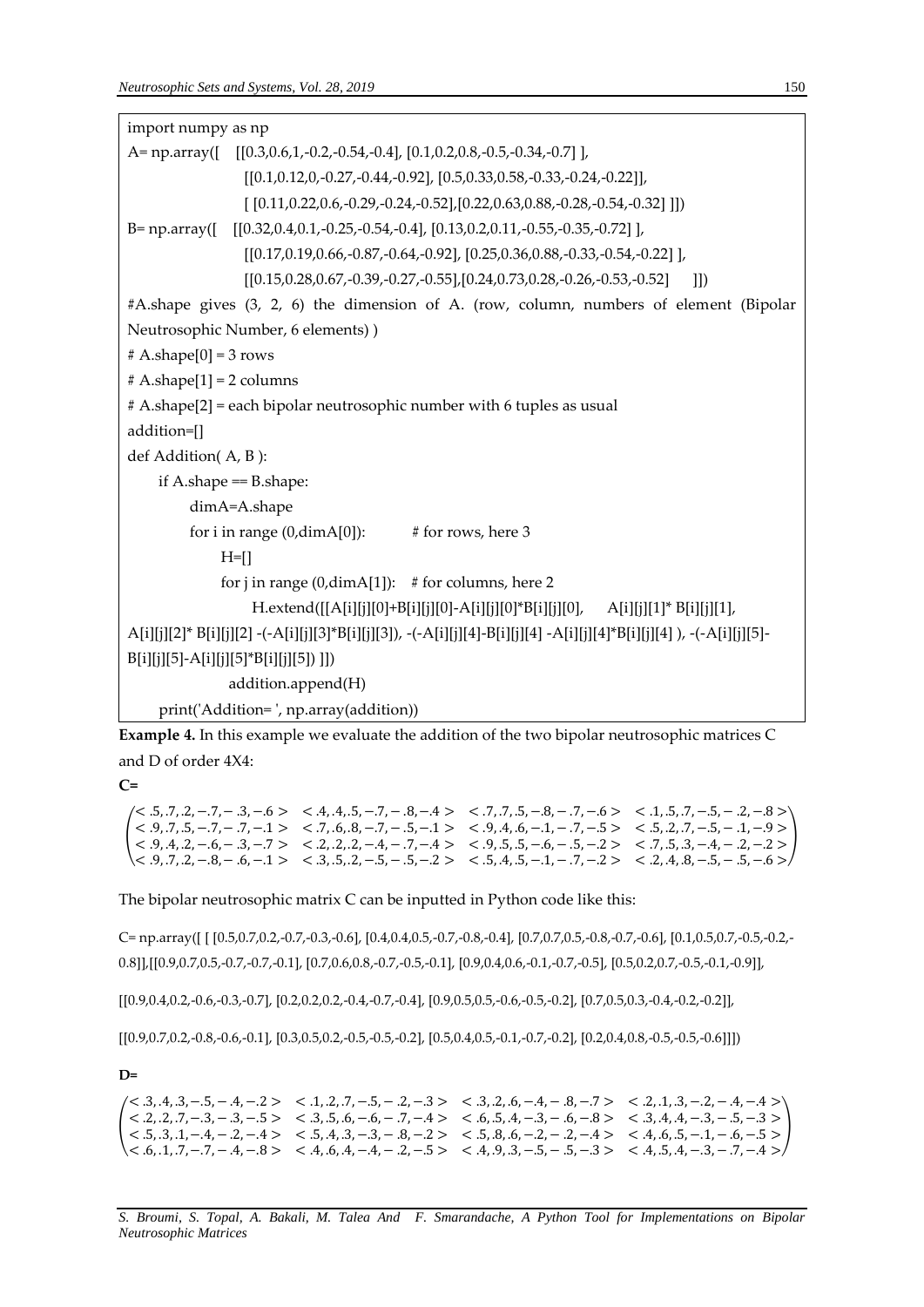| import numpy as np                                                                                                     |  |  |  |  |  |
|------------------------------------------------------------------------------------------------------------------------|--|--|--|--|--|
| A= np.array( $\begin{bmatrix} [0.3, 0.6, 1, -0.2, -0.54, -0.4], [0.1, 0.2, 0.8, -0.5, -0.34, -0.7] \end{bmatrix}$      |  |  |  |  |  |
| $[ [0.1, 0.12, 0, -0.27, -0.44, -0.92], [0.5, 0.33, 0.58, -0.33, -0.24, -0.22]],$                                      |  |  |  |  |  |
| $[ [0.11, 0.22, 0.6, -0.29, -0.24, -0.52], [0.22, 0.63, 0.88, -0.28, -0.54, -0.32]] ]$                                 |  |  |  |  |  |
| B= np.array([ [[0.32,0.4,0.1,-0.25,-0.54,-0.4], [0.13,0.2,0.11,-0.55,-0.35,-0.72]],                                    |  |  |  |  |  |
| $[ [0.17, 0.19, 0.66, -0.87, -0.64, -0.92], [0.25, 0.36, 0.88, -0.33, -0.54, -0.22], ]$                                |  |  |  |  |  |
| $[ [0.15, 0.28, 0.67, -0.39, -0.27, -0.55], [0.24, 0.73, 0.28, -0.26, -0.53, -0.52]$<br> 1                             |  |  |  |  |  |
| #A.shape gives (3, 2, 6) the dimension of A. (row, column, numbers of element (Bipolar                                 |  |  |  |  |  |
| Neutrosophic Number, 6 elements))                                                                                      |  |  |  |  |  |
| # A.shape[0] = 3 rows                                                                                                  |  |  |  |  |  |
| # A.shape[1] = 2 columns                                                                                               |  |  |  |  |  |
| # A.shape[2] = each bipolar neutrosophic number with 6 tuples as usual                                                 |  |  |  |  |  |
| addition=[]                                                                                                            |  |  |  |  |  |
| def Addition(A, B):                                                                                                    |  |  |  |  |  |
| if A.shape $=$ B.shape:                                                                                                |  |  |  |  |  |
| dimA=A.shape                                                                                                           |  |  |  |  |  |
| for i in range $(0, \text{dimA}[0])$ : # for rows, here 3                                                              |  |  |  |  |  |
| $H = []$                                                                                                               |  |  |  |  |  |
| for j in range (0, $\dim A[1]$ ): # for columns, here 2                                                                |  |  |  |  |  |
| H.extend([[A[i][j][0]+B[i][j][0]-A[i][j][0]*B[i][j][0], A[i][j][1]* B[i][j][1],                                        |  |  |  |  |  |
| $A[i][j][2]^*B[i][j][2] -(-A[i][j][3]^*B[i][j][3])$ , -(-A[i][j][4]-B[i][j][4] -A[i][j][4]*B[i][j][4]), -(-A[i][j][5]- |  |  |  |  |  |
| $B[i][j][5] - A[i][j][5]^*B[i][j][5])$ ]                                                                               |  |  |  |  |  |
| addition.append(H)                                                                                                     |  |  |  |  |  |
| print('Addition=', np.array(addition))                                                                                 |  |  |  |  |  |

**Example 4.** In this example we evaluate the addition of the two bipolar neutrosophic matrices C and D of order 4X4:

**C=**

```
(
 < .5, .7, .2, −.7, − .3, −.6 > < .4, .4, .5, −.7, − .8, −.4 > < .7, .7, .5, −.8, − .7, −.6 > < .1, .5, .7, −.5, − .2, −.8 >
 < .9, .7, .5, −.7, − .7, −.1 > < .7, .6, .8, −.7, − .5, −.1 > < .9, .4, .6, −.1, − .7, −.5 > < .5, .2, .7, −.5, − .1, −.9 >
 < .9, .4, .2, −.6, − .3, −.7 > < .2, .2, .2, −.4, − .7, −.4 > < .9, .5, .5, −.6, − .5, −.2 > < .7, .5, .3, −.4, − .2, −.2 >
 < .9, .7, .2, −.8, − .6, −.1 > < .3, .5, .2, −.5, − .5, −.2 > < .5, .4, .5, −.1, − .7, −.2 > < .2, .4, .8, −.5, − .5, −.6 >
                                                                                                                             )
```
# The bipolar neutrosophic matrix C can be inputted in Python code like this:

C= np.array([ [ [0.5,0.7,0.2,-0.7,-0.3,-0.6], [0.4,0.4,0.5,-0.7,-0.8,-0.4], [0.7,0.7,0.5,-0.8,-0.7,-0.6], [0.1,0.5,0.7,-0.5,-0.2,- 0.8]],[[0.9,0.7,0.5,-0.7,-0.7,-0.1], [0.7,0.6,0.8,-0.7,-0.5,-0.1], [0.9,0.4,0.6,-0.1,-0.7,-0.5], [0.5,0.2,0.7,-0.5,-0.1,-0.9]],

[[0.9,0.4,0.2,-0.6,-0.3,-0.7], [0.2,0.2,0.2,-0.4,-0.7,-0.4], [0.9,0.5,0.5,-0.6,-0.5,-0.2], [0.7,0.5,0.3,-0.4,-0.2,-0.2]],

[[0.9,0.7,0.2,-0.8,-0.6,-0.1], [0.3,0.5,0.2,-0.5,-0.5,-0.2], [0.5,0.4,0.5,-0.1,-0.7,-0.2], [0.2,0.4,0.8,-0.5,-0.5,-0.6]]])

**D=**

( < .5, .3, .1, −.4, − .2, −.4 > < .5, .4, .3, −.3, − .8, −.2 > < .5, .8, .6, −.2, − .2, −.4 > < .4, .6, .5, −.1, − .6, −.5 > ) $\langle 3, 4, 3, -5, -4, -2 \rangle$   $\langle 1, 2, 7, -5, -2, -3 \rangle$   $\langle 3, 2, 4, -8, -7 \rangle$   $\langle 2, 1, 3, -2, -4, -4 \rangle$  $< .2, .2, .7, -.3, -.3, -.5 > < .3, .5, .6, -.6, -.7, -.4 > < .6, .5, .4, -.3, -.6, -.8 > < .3, .4, .4, -.3, -.5, -.3 >$  $\langle <.6, 1, .7, -.7, -.4, -.8 > <.4, .6, .4, -.4, -.2, -.5 > <.4, .9, .3, -.5, -.5, -.3 > <.4, .5, .4, -.3, -.7, -.4 >.4$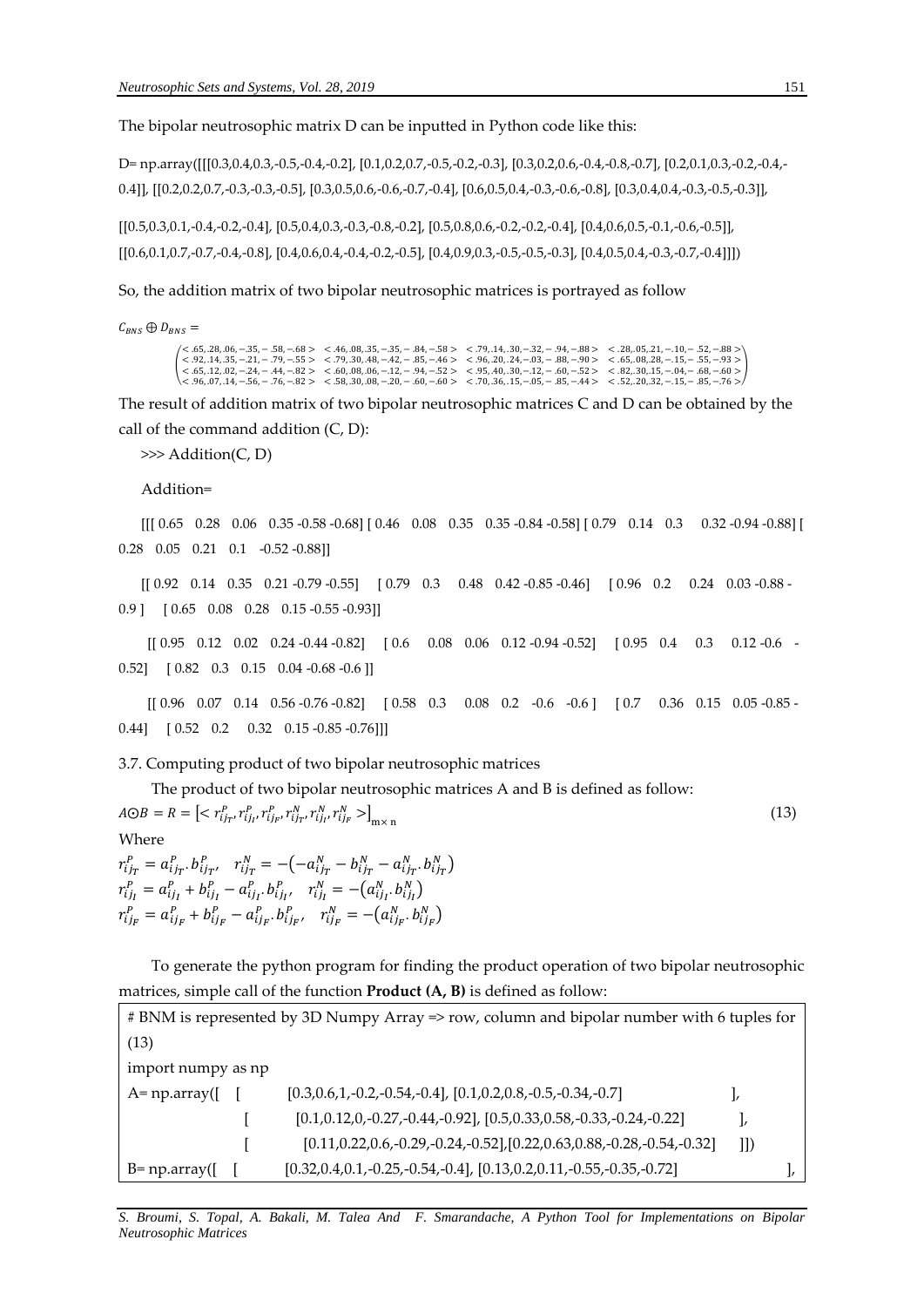The bipolar neutrosophic matrix D can be inputted in Python code like this:

D= np.array([[[0.3,0.4,0.3,-0.5,-0.4,-0.2], [0.1,0.2,0.7,-0.5,-0.2,-0.3], [0.3,0.2,0.6,-0.4,-0.8,-0.7], [0.2,0.1,0.3,-0.2,-0.4,- 0.4]], [[0.2,0.2,0.7,-0.3,-0.3,-0.5], [0.3,0.5,0.6,-0.6,-0.7,-0.4], [0.6,0.5,0.4,-0.3,-0.6,-0.8], [0.3,0.4,0.4,-0.3,-0.5,-0.3]],

[[0.5,0.3,0.1,-0.4,-0.2,-0.4], [0.5,0.4,0.3,-0.3,-0.8,-0.2], [0.5,0.8,0.6,-0.2,-0.2,-0.4], [0.4,0.6,0.5,-0.1,-0.6,-0.5]], [[0.6,0.1,0.7,-0.7,-0.4,-0.8], [0.4,0.6,0.4,-0.4,-0.2,-0.5], [0.4,0.9,0.3,-0.5,-0.5,-0.3], [0.4,0.5,0.4,-0.3,-0.7,-0.4]]])

So, the addition matrix of two bipolar neutrosophic matrices is portrayed as follow

 $C_{BNS} \oplus D_{BNS} =$ 

(  $<$  65, 28, 06, -35, -58, -68 >  $<$  46, 08, 35, -35, -84, -58 >  $<$  79, 14, 30, -32, -94, -88 >  $<$  28, 05, 21, -10, -52, -88 >  $<$  92, 14, 35, -21, -79, -55 >  $<$  79, 30, 48, -42, -85, -46 >  $<$  96, 20, 24, -03, -88, -90 )

The result of addition matrix of two bipolar neutrosophic matrices C and D can be obtained by the call of the command addition (C, D):

>>> Addition(C, D)

Addition=

[[[ 0.65 0.28 0.06 0.35 -0.58 -0.68] [ 0.46 0.08 0.35 0.35 -0.84 -0.58] [ 0.79 0.14 0.3 0.32 -0.94 -0.88] [ 0.28 0.05 0.21 0.1 -0.52 -0.88]]

[[ 0.92 0.14 0.35 0.21 -0.79 -0.55] [ 0.79 0.3 0.48 0.42 -0.85 -0.46] [ 0.96 0.2 0.24 0.03 -0.88 - 0.9 ] [ 0.65 0.08 0.28 0.15 -0.55 -0.93]]

[[ 0.95 0.12 0.02 0.24 -0.44 -0.82] [ 0.6 0.08 0.06 0.12 -0.94 -0.52] [ 0.95 0.4 0.3 0.12 -0.6 - 0.52] [ 0.82 0.3 0.15 0.04 -0.68 -0.6 ]]

[[ 0.96 0.07 0.14 0.56 -0.76 -0.82] [ 0.58 0.3 0.08 0.2 -0.6 -0.6 ] [ 0.7 0.36 0.15 0.05 -0.85 - 0.44] [ 0.52 0.2 0.32 0.15 -0.85 -0.76]]]

3.7. Computing product of two bipolar neutrosophic matrices

The product of two bipolar neutrosophic matrices A and B is defined as follow:

```
A \odot B = R = \left[ \langle r_{ij_T}^p, r_{ij_{I'}}^p, r_{ij_{F'}}^p, r_{ij_{T'}}^N, r_{ij_{I'}}^N, r_{ij_{F}}^N \rangle \right]_{\text{m} \times \text{n}} (13) 
Where
```
 $r_{ijT}^P = a_{ijT}^P \cdot b_{ijT}^P$ ,  $r_{ijT}^N = -(-a_{ijT}^N - b_{ijT}^N - a_{ijT}^N \cdot b_{ijT}^N)$  $r_{ijI}^P = a_{ijI}^P + b_{ijI}^P - a_{ijI}^P \cdot b_{ijI}^P$ ,  $r_{ijI}^N = -(a_{ijI}^N \cdot b_{ijI}^N)$  $r_{ij_F}^P = a_{ij_F}^P + b_{ij_F}^P - a_{ij_F}^P$ ,  $b_{ij_F}^P$ ,  $r_{ij_F}^N = -(a_{ij_F}^N, b_{ij_F}^N)$ 

To generate the python program for finding the product operation of two bipolar neutrosophic matrices, simple call of the function **Product (A, B)** is defined as follow:

| # BNM is represented by 3D Numpy Array => row, column and bipolar number with 6 tuples for |  |                                                                                   |     |  |  |  |
|--------------------------------------------------------------------------------------------|--|-----------------------------------------------------------------------------------|-----|--|--|--|
| (13)                                                                                       |  |                                                                                   |     |  |  |  |
| import numpy as np                                                                         |  |                                                                                   |     |  |  |  |
| $A=$ np.array([                                                                            |  | $[0.3, 0.6, 1, -0.2, -0.54, -0.4], [0.1, 0.2, 0.8, -0.5, -0.34, -0.7]$            |     |  |  |  |
|                                                                                            |  | $[0.1, 0.12, 0, -0.27, -0.44, -0.92], [0.5, 0.33, 0.58, -0.33, -0.24, -0.22]$     |     |  |  |  |
|                                                                                            |  | $[0.11, 0.22, 0.6, -0.29, -0.24, -0.52], [0.22, 0.63, 0.88, -0.28, -0.54, -0.32]$ | 11) |  |  |  |
| $B=$ np.array([                                                                            |  | $[0.32, 0.4, 0.1, -0.25, -0.54, -0.4], [0.13, 0.2, 0.11, -0.55, -0.35, -0.72]$    |     |  |  |  |

*S. Broumi, S. Topal, A. Bakali, M. Talea And F. Smarandache, A Python Tool for Implementations on Bipolar Neutrosophic Matrices*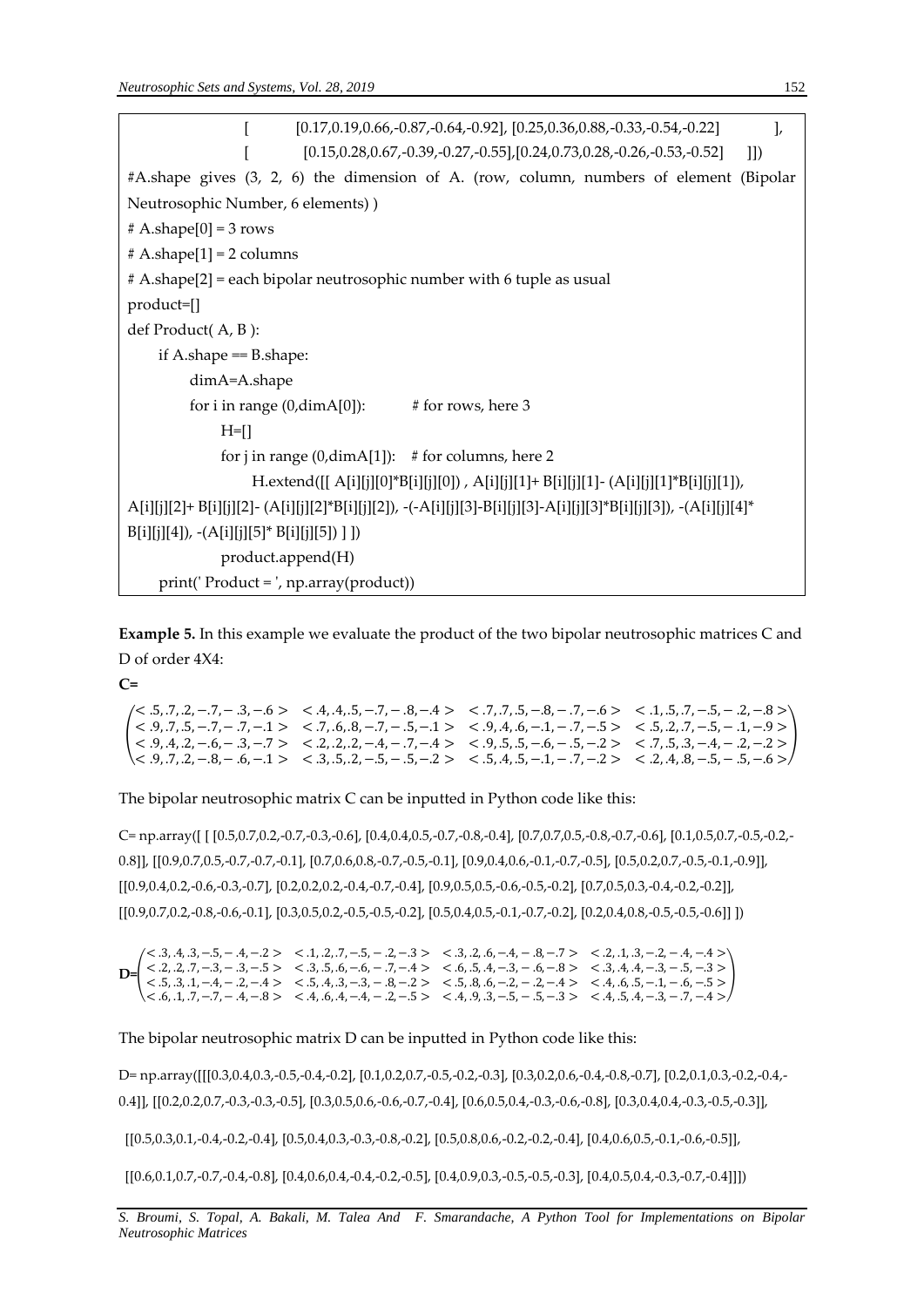| $[0.17, 0.19, 0.66, -0.87, -0.64, -0.92]$ , $[0.25, 0.36, 0.88, -0.33, -0.54, -0.22]$<br>$\mathbf{L}$          |  |  |  |  |  |
|----------------------------------------------------------------------------------------------------------------|--|--|--|--|--|
| $[0.15, 0.28, 0.67, -0.39, -0.27, -0.55], [0.24, 0.73, 0.28, -0.26, -0.53, -0.52]$<br> 1                       |  |  |  |  |  |
| #A.shape gives (3, 2, 6) the dimension of A. (row, column, numbers of element (Bipolar                         |  |  |  |  |  |
| Neutrosophic Number, 6 elements))                                                                              |  |  |  |  |  |
| $# A.shape[0] = 3 rows$                                                                                        |  |  |  |  |  |
| $# A.shape[1] = 2 columns$                                                                                     |  |  |  |  |  |
| # A.shape[2] = each bipolar neutrosophic number with 6 tuple as usual                                          |  |  |  |  |  |
| product=[]                                                                                                     |  |  |  |  |  |
| def Product(A, B):                                                                                             |  |  |  |  |  |
| if A.shape $=$ B.shape:                                                                                        |  |  |  |  |  |
| dimA=A.shape                                                                                                   |  |  |  |  |  |
| for i in range $(0, \text{dimA}[0])$ : # for rows, here 3                                                      |  |  |  |  |  |
| $H=[]$                                                                                                         |  |  |  |  |  |
| for j in range (0, $dimA[1]$ ): # for columns, here 2                                                          |  |  |  |  |  |
| H.extend([[ A[i][j][0]*B[i][j][0]), A[i][j][1]+ B[i][j][1]- (A[i][j][1]*B[i][j][1]),                           |  |  |  |  |  |
| A[i][j][2]+B[i][j][2]- (A[i][j][2]*B[i][j][2]), -(-A[i][j][3]-B[i][j][3]-A[i][j][3]*B[i][j][3]), -(A[i][j][4]* |  |  |  |  |  |
| $B[i][j][4])$ , -(A[i][j][5]* $B[i][j][5])$ ])]                                                                |  |  |  |  |  |
| product.append(H)                                                                                              |  |  |  |  |  |
| print(' Product = ', np.array(product))                                                                        |  |  |  |  |  |

**Example 5.** In this example we evaluate the product of the two bipolar neutrosophic matrices C and D of order 4X4:

**C=**

 $\left\{\n \begin{array}{cccccc}\n < 9, .7, .5, -.7, -.7, -.7, -.7, -.6, .8, -.7, -.5, -.1 > < .9, .4, .6, -.1, -.7, -.5 > < .5, .2, .7, -.5, -.1, -.9 > < 0.4 & 2 & .6 & .2 & .2 & .2 & .2 & .4 & .7 & .4 & < & 0 & .5 & .5 & .6 & .5 & .2 & .2 & .2 & .2 & .2 & .2 & .2 &$  $\alpha$   $<$  .5, .7, .2, -.7, - .3, -.6 >  $\alpha$   $<$  .4, .4, .5, -.7, - .8, -.4 >  $\alpha$   $<$  .7, .7, .5, -.8, -.7, -.6 >  $\alpha$  .1, .5, .7, -.5, - .2, -.8 > ((((((((((((((((())))))) (((()))) ((())) ((())) ((())) (()) (()) (()) (()) (()) (()) (()) (()) (()) (()) (()) (()) (()) (()) (()) (()) (()) (()) (()) (()) (()) (()) (()) (()) (()) (()) (()) (()) (()) (()) (()) (()) (()) (  $(1, 2, 3, 7, 2, -8, -16, -1)$   $(3, 3, 5, 2, -5, -5, -2)$   $(3, 4, 5, -1, -7, -2)$   $(3, 4, 8, -5, -5, -6)$ 

The bipolar neutrosophic matrix C can be inputted in Python code like this:

C= np.array([ [ [0.5,0.7,0.2,-0.7,-0.3,-0.6], [0.4,0.4,0.5,-0.7,-0.8,-0.4], [0.7,0.7,0.5,-0.8,-0.7,-0.6], [0.1,0.5,0.7,-0.5,-0.2,- 0.8]], [[0.9,0.7,0.5,-0.7,-0.7,-0.1], [0.7,0.6,0.8,-0.7,-0.5,-0.1], [0.9,0.4,0.6,-0.1,-0.7,-0.5], [0.5,0.2,0.7,-0.5,-0.1,-0.9]], [[0.9,0.4,0.2,-0.6,-0.3,-0.7], [0.2,0.2,0.2,-0.4,-0.7,-0.4], [0.9,0.5,0.5,-0.6,-0.5,-0.2], [0.7,0.5,0.3,-0.4,-0.2,-0.2]], [[0.9,0.7,0.2,-0.8,-0.6,-0.1], [0.3,0.5,0.2,-0.5,-0.5,-0.2], [0.5,0.4,0.5,-0.1,-0.7,-0.2], [0.2,0.4,0.8,-0.5,-0.5,-0.6]] ])

**D=**(  $\langle 5, 3, 4, 3, -5, -4, -2 \rangle$   $\langle 1, 2, 7, -5, -3, -3 \rangle$   $\langle 3, 2, 6, -4, -3, -7 \rangle$   $\langle 2, 1, 3, -2, -4, -4 \rangle$  $< 0.2, 0.2, 0.7, -0.3, -0.5 > < 0.3, 0.5, 0.6, -0.7, -0.4 > < 0.6, 0.5, 0.4, -0.3, -0.5 > < 0.3, 0.4, 0.4, -0.3, -0.5, -0.3 >$ < .5, .3, .1, −.4, − .2, −.4 > < .5, .4, .3, −.3, − .8,−.2 > < .5, .8, .6, −.2, − .2,−.4 > < .4, .6, .5, −.1, − .6, −.5 >  $<.6, .1, .7, -.7, -.4, -.8 > <.4, .6, .4, -.4, -.2, -.5 > <.4, .9, .3, -.5, -.5, -.3 > <.4, .5, .4, -.3, -.7, -.4 >$ )

The bipolar neutrosophic matrix D can be inputted in Python code like this:

D= np.array([[[0.3,0.4,0.3,-0.5,-0.4,-0.2], [0.1,0.2,0.7,-0.5,-0.2,-0.3], [0.3,0.2,0.6,-0.4,-0.8,-0.7], [0.2,0.1,0.3,-0.2,-0.4,- 0.4]], [[0.2,0.2,0.7,-0.3,-0.3,-0.5], [0.3,0.5,0.6,-0.6,-0.7,-0.4], [0.6,0.5,0.4,-0.3,-0.6,-0.8], [0.3,0.4,0.4,-0.3,-0.5,-0.3]],

[[0.5,0.3,0.1,-0.4,-0.2,-0.4], [0.5,0.4,0.3,-0.3,-0.8,-0.2], [0.5,0.8,0.6,-0.2,-0.2,-0.4], [0.4,0.6,0.5,-0.1,-0.6,-0.5]],

[[0.6,0.1,0.7,-0.7,-0.4,-0.8], [0.4,0.6,0.4,-0.4,-0.2,-0.5], [0.4,0.9,0.3,-0.5,-0.5,-0.3], [0.4,0.5,0.4,-0.3,-0.7,-0.4]]])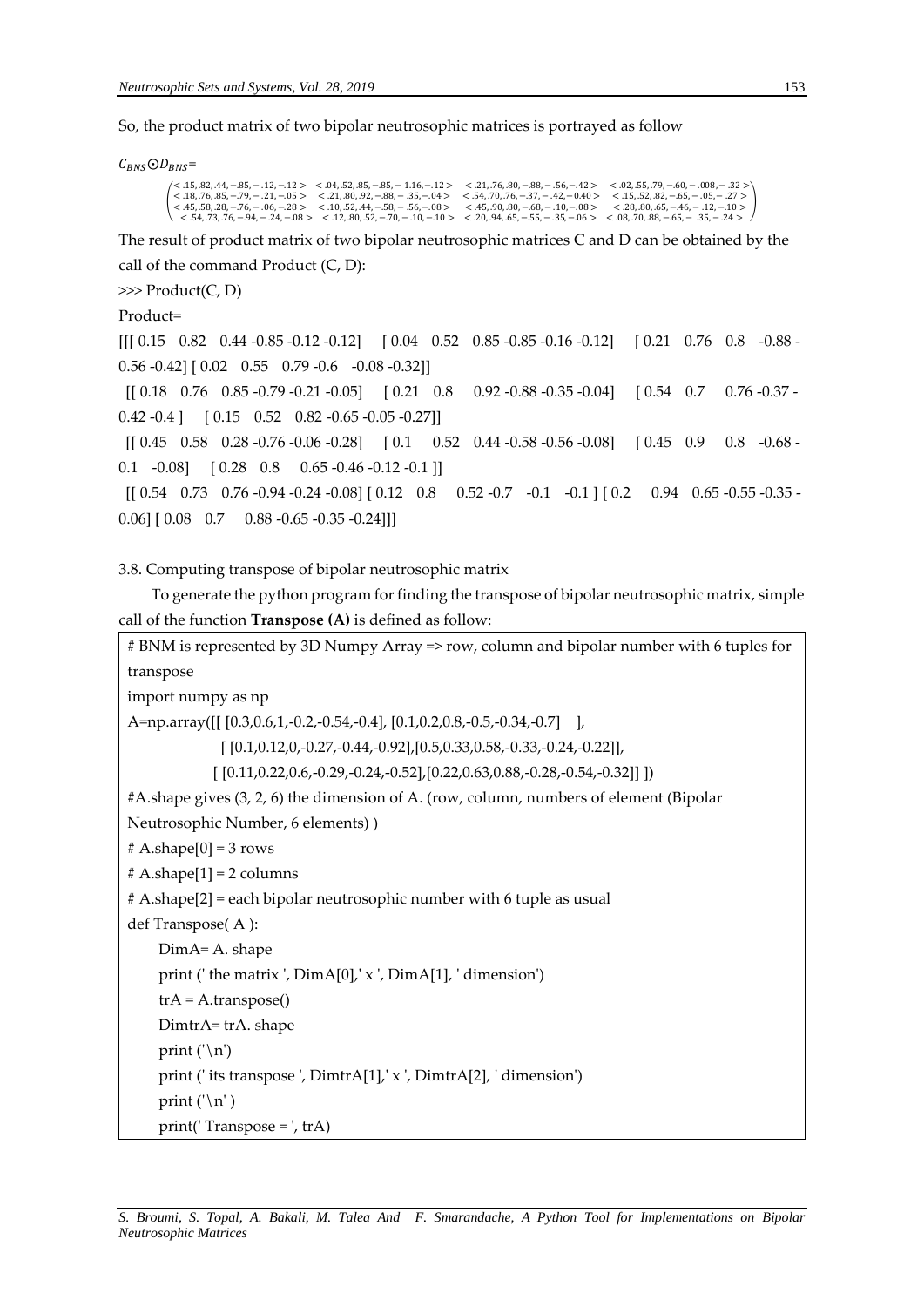So, the product matrix of two bipolar neutrosophic matrices is portrayed as follow

 $C_{RNS}$  $\odot$  $D_{RNS}$ =

```
(
  < 15, 82, 44, -.85, --12, --12 > < .04, 52, 85, --85, --116, --12 > < .21, 76, 80, --88, --56, --42 > < .02, 55, 79, --60, --008, --32 > < .18, 76, 85, --79, --21, --05 > < .21, 80, 92, --88, --37, --37, --37,
                                                                                                                                                                                                                   )
```
The result of product matrix of two bipolar neutrosophic matrices C and D can be obtained by the call of the command Product (C, D):

```
>>> Product(C, D)
```

```
Product=
```

```
[[[ 0.15 0.82 0.44 -0.85 -0.12 -0.12] [ 0.04 0.52 0.85 -0.85 -0.16 -0.12] [ 0.21 0.76 0.8 -0.88 -
0.56 -0.42] [ 0.02 0.55 0.79 -0.6 -0.08 -0.32]]
[[ 0.18 0.76 0.85 -0.79 -0.21 -0.05] [ 0.21 0.8 0.92 -0.88 -0.35 -0.04] [ 0.54 0.7 0.76 -0.37 -
0.42 -0.4 ] [ 0.15 \quad 0.52 \quad 0.82 -0.65 -0.05 -0.27][[ 0.45 0.58 0.28 -0.76 -0.06 -0.28] [ 0.1 0.52 0.44 -0.58 -0.56 -0.08] [ 0.45 0.9 0.8 -0.68 -
0.1 -0.08] [ 0.28 0.8 0.65 -0.46 -0.12 -0.1 ]]
[[ 0.54 0.73 0.76 -0.94 -0.24 -0.08] [ 0.12 0.8 0.52 -0.7 -0.1 -0.1 ] [ 0.2 0.94 0.65 -0.55 -0.35 -
0.06] [0.08 \t0.7 \t0.88 \t-0.65 \t-0.35 \t-0.24]]
```
3.8. Computing transpose of bipolar neutrosophic matrix

To generate the python program for finding the transpose of bipolar neutrosophic matrix, simple call of the function **Transpose (A)** is defined as follow:

```
# BNM is represented by 3D Numpy Array => row, column and bipolar number with 6 tuples for 
transpose
import numpy as np
A=np.array([[ [0.3,0.6,1,-0.2,-0.54,-0.4], [0.1,0.2,0.8,-0.5,-0.34,-0.7] ],
               [ [0.1,0.12,0,-0.27,-0.44,-0.92],[0.5,0.33,0.58,-0.33,-0.24,-0.22]],
             [ [ 0.11, 0.22, 0.6, -0.29, -0.24, -0.52], [ 0.22, 0.63, 0.88, -0.28, -0.54, -0.32]] ]#A.shape gives (3, 2, 6) the dimension of A. (row, column, numbers of element (Bipolar 
Neutrosophic Number, 6 elements) )
# A.shape[0] = 3 rows# A.shape[1] = 2 columns
# A.shape[2] = each bipolar neutrosophic number with 6 tuple as usual 
def Transpose( A ):
     DimA= A. shape
     print (' the matrix ', DimA[0],' x ', DimA[1], ' dimension')
    trA = A.transpose() DimtrA= trA. shape
    print ('n') print (' its transpose ', DimtrA[1],' x ', DimtrA[2], ' dimension')
    print ('n') print(' Transpose = ', trA)
```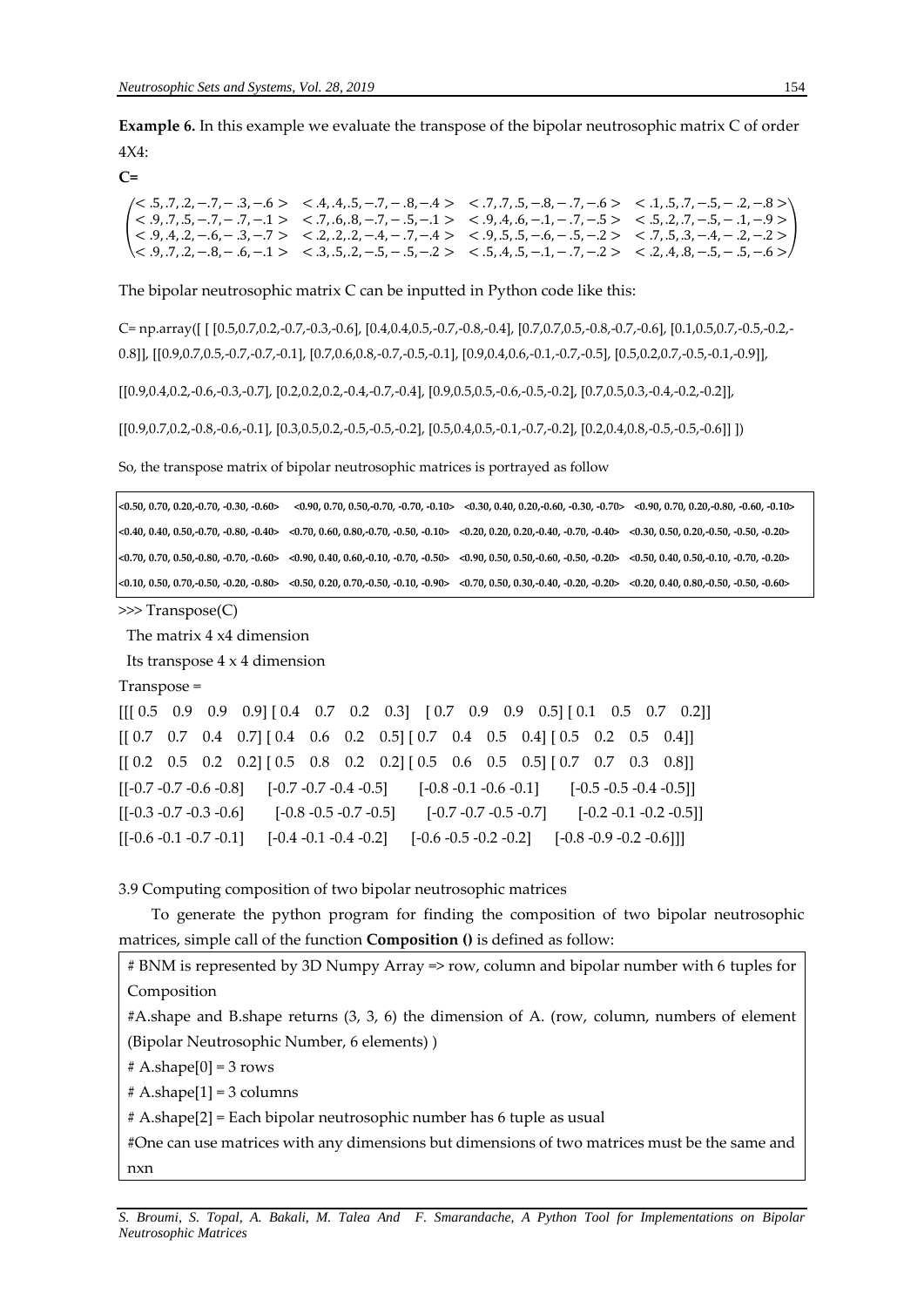**Example 6.** In this example we evaluate the transpose of the bipolar neutrosophic matrix C of order 4X4:

**C=**

| $(0.5, 0.7, 0.2, -0.7, -0.3, -0.6)$ $\leq$ .4, .4, .5, -7, -0.8, -.4 $\geq$ $\leq$ .7, .7, .5, -0.8, -0.7, -0.6 $\geq$ $\leq$ .1, .5, .7, -0.5, -0.2, -0.8 $\geq$               |  |  |
|---------------------------------------------------------------------------------------------------------------------------------------------------------------------------------|--|--|
| $1 < .9, .7, .5, -.7, -.1, -.1 > < .7, .6, .8, -.7, -.5, -.1 > < .9, .4, .6, -.1, -.7, -.5 > < .5, .2, .7, -.5, -.1, -.9 > 1$                                                   |  |  |
|                                                                                                                                                                                 |  |  |
| $\langle 5, .9, .7, .2, -.8, -.6, -.1 \rangle$ $\langle 3, .5, .2, -.5, -.5, -.2 \rangle$ $\langle 5, .4, .5, -.1, -.7, -.2 \rangle$ $\langle 2, .4, .8, -.5, -.5, -.6 \rangle$ |  |  |

The bipolar neutrosophic matrix C can be inputted in Python code like this:

C= np.array([ [ [0.5,0.7,0.2,-0.7,-0.3,-0.6], [0.4,0.4,0.5,-0.7,-0.8,-0.4], [0.7,0.7,0.5,-0.8,-0.7,-0.6], [0.1,0.5,0.7,-0.5,-0.2,- 0.8]], [[0.9,0.7,0.5,-0.7,-0.7,-0.1], [0.7,0.6,0.8,-0.7,-0.5,-0.1], [0.9,0.4,0.6,-0.1,-0.7,-0.5], [0.5,0.2,0.7,-0.5,-0.1,-0.9]],

[[0.9,0.4,0.2,-0.6,-0.3,-0.7], [0.2,0.2,0.2,-0.4,-0.7,-0.4], [0.9,0.5,0.5,-0.6,-0.5,-0.2], [0.7,0.5,0.3,-0.4,-0.2,-0.2]],

[[0.9,0.7,0.2,-0.8,-0.6,-0.1], [0.3,0.5,0.2,-0.5,-0.5,-0.2], [0.5,0.4,0.5,-0.1,-0.7,-0.2], [0.2,0.4,0.8,-0.5,-0.5,-0.6]] ])

So, the transpose matrix of bipolar neutrosophic matrices is portrayed as follow

| $<$ 0.50, 0.70, 0.20, 0.70, -0.30, -0.60> |                                                                                                                                                                                                                                | $(0.90, 0.70, 0.50, -0.70, -0.70, -0.10)$ $(0.30, 0.40, 0.20, -0.60, -0.30, -0.70)$ $(0.70, 0.70, 0.20, -0.80, -0.60, -0.10)$ |  |
|-------------------------------------------|--------------------------------------------------------------------------------------------------------------------------------------------------------------------------------------------------------------------------------|-------------------------------------------------------------------------------------------------------------------------------|--|
|                                           | $(0.40, 0.40, 0.50, 0.70, -0.80, -0.40)$ $(0.70, 0.60, 0.80, -0.70, -0.50, -0.10)$ $(0.20, 0.20, 0.20, 0.40, -0.70, -0.40)$ $(0.30, 0.50, 0.20, 0.50, 0.20, -0.50, -0.20)$                                                     |                                                                                                                               |  |
|                                           | $\langle 0.70, 0.70, 0.50, 0.80, -0.70, -0.60 \rangle$ < 0.90, 0.40, 0.60, -0.10, -0.70, -0.50 < 0.90, 0.50, 0.50, -0.60, -0.50, -0.20 < 0.50, 0.40, 0.50, -0.10, -0.70, -0.20 <                                               |                                                                                                                               |  |
|                                           | $\langle 0.10, 0.50, 0.70, 0.50, -0.20, -0.80 \rangle$ $\langle 0.50, 0.20, 0.70, -0.50, -0.10, -0.90 \rangle$ $\langle 0.70, 0.50, 0.30, -0.40, -0.20, -0.20 \rangle$ $\langle 0.20, 0.40, 0.80, -0.50, -0.50, -0.60 \rangle$ |                                                                                                                               |  |

>>> Transpose(C)

The matrix 4 x4 dimension

Its transpose 4 x 4 dimension

Transpose =

 $[[[ 0.5 \quad 0.9 \quad 0.9 \quad 0.9] [ 0.4 \quad 0.7 \quad 0.2 \quad 0.3] [ 0.7 \quad 0.9 \quad 0.9 \quad 0.5] [ 0.1 \quad 0.5 \quad 0.7 \quad 0.2]]$  $[[ 0.7 \quad 0.7 \quad 0.4 \quad 0.7] [ 0.4 \quad 0.6 \quad 0.2 \quad 0.5] [ 0.7 \quad 0.4 \quad 0.5 \quad 0.4] [ 0.5 \quad 0.2 \quad 0.5 \quad 0.4]]$  $[$  [0.2 0.5 0.2 0.2]  $[$  0.5 0.8 0.2 0.2]  $[$  0.5 0.6 0.5 0.5]  $[$  0.7 0.7 0.3 0.8]]  $[[-0.7 - 0.7 - 0.6 - 0.8]$   $[-0.7 - 0.7 - 0.4 - 0.5]$   $[-0.8 - 0.1 - 0.6 - 0.1]$   $[-0.5 - 0.5 - 0.4 - 0.5]$  $[[-0.3 - 0.7 - 0.3 - 0.6]$   $[-0.8 - 0.5 - 0.7 - 0.5]$   $[-0.7 - 0.7 - 0.5 - 0.7]$   $[-0.2 - 0.1 - 0.2 - 0.5]$ [[-0.6 -0.1 -0.7 -0.1] [-0.4 -0.1 -0.4 -0.2] [-0.6 -0.5 -0.2 -0.2] [-0.8 -0.9 -0.2 -0.6]]]

3.9 Computing composition of two bipolar neutrosophic matrices

To generate the python program for finding the composition of two bipolar neutrosophic matrices, simple call of the function **Composition ()** is defined as follow:

# BNM is represented by 3D Numpy Array => row, column and bipolar number with 6 tuples for Composition

#A.shape and B.shape returns (3, 3, 6) the dimension of A. (row, column, numbers of element (Bipolar Neutrosophic Number, 6 elements) )

 $# A.shape[0] = 3 rows$ 

 $# A.shape[1] = 3 columns$ 

# A.shape[2] = Each bipolar neutrosophic number has 6 tuple as usual

#One can use matrices with any dimensions but dimensions of two matrices must be the same and nxn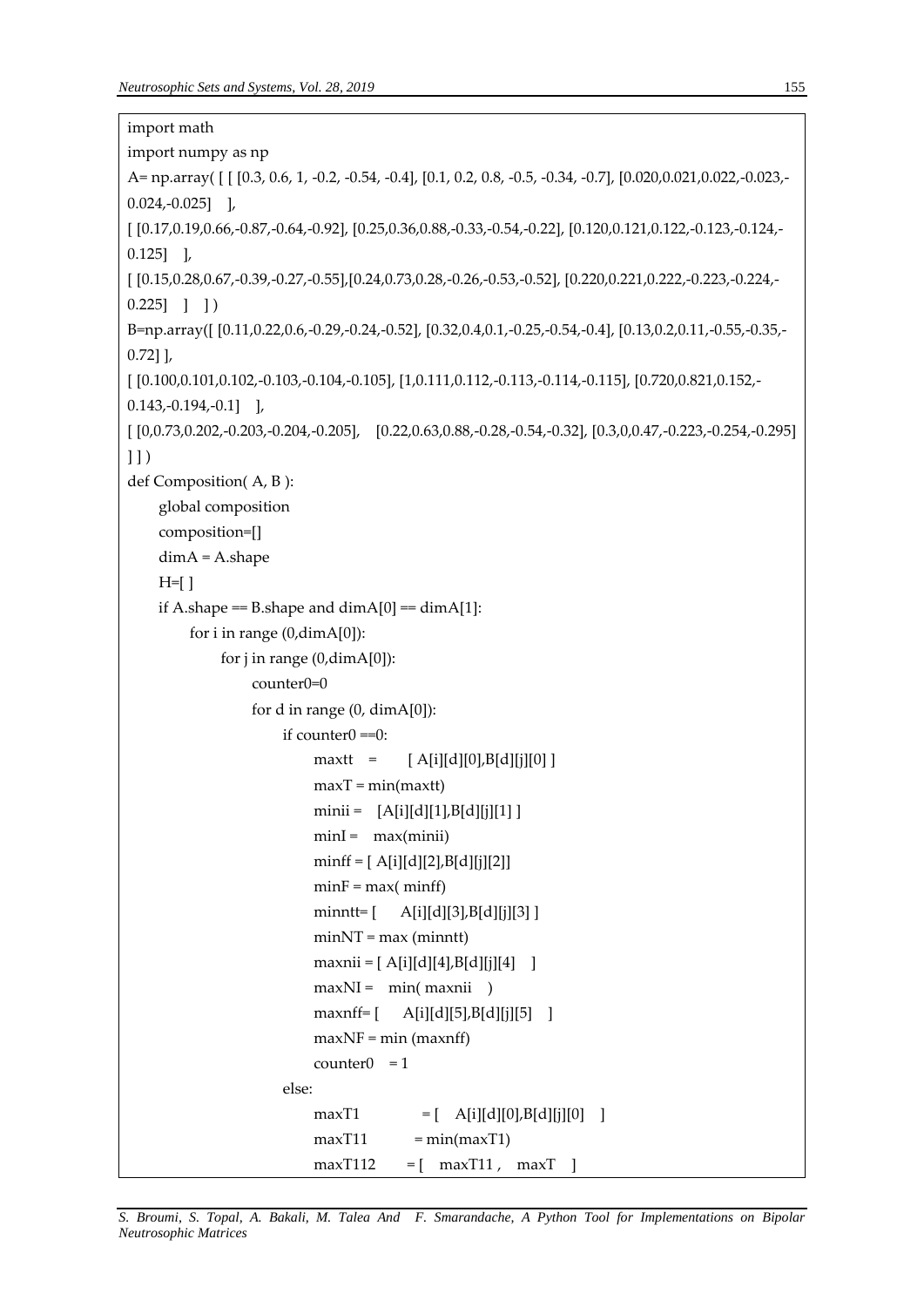```
import math
import numpy as np
A= np.array( [ [ [0.3, 0.6, 1, -0.2, -0.54, -0.4], [0.1, 0.2, 0.8, -0.5, -0.34, -0.7], [0.020,0.021,0.022,-0.023,-
0.024,-0.025] ],
[ [0.17,0.19,0.66,-0.87,-0.64,-0.92], [0.25,0.36,0.88,-0.33,-0.54,-0.22], [0.120,0.121,0.122,-0.123,-0.124,-
0.125] ],
[ [0.15,0.28,0.67,-0.39,-0.27,-0.55],[0.24,0.73,0.28,-0.26,-0.53,-0.52], [0.220,0.221,0.222,-0.223,-0.224,-
0.225] ] ]
B=np.array([ [0.11,0.22,0.6,-0.29,-0.24,-0.52], [0.32,0.4,0.1,-0.25,-0.54,-0.4], [0.13,0.2,0.11,-0.55,-0.35,-
0.72] ],
[ [0.100,0.101,0.102,-0.103,-0.104,-0.105], [1,0.111,0.112,-0.113,-0.114,-0.115], [0.720,0.821,0.152,-
0.143,-0.194,-0.1] ],
[ [0,0.73,0.202,-0.203,-0.204,-0.205], [0.22,0.63,0.88,-0.28,-0.54,-0.32], [0.3,0,0.47,-0.223,-0.254,-0.295] 
11)def Composition( A, B ):
     global composition
     composition=[]
     dimA = A.shape
    H=[ ]
    if A.shape == B.shape and dim A[0] == dim A[1]:
          for i in range (0,dimA[0]): 
             for j in range (0, \text{dim}A[0]):
                   counter0=0 
                  for d in range (0, dimA[0]):
                       if counter0 = 0:
                           maxtt = [A[i][d][0],B[d][j][0]maxT = min(maxtt)mini = [A[i][d][1],B[d][j][1]] minI = max(minii) 
                           minff = [A[i][d][2],B[d][j][2]]minF = max(minff) minntt= [ A[i][d][3],B[d][j][3] ]
                           minNT = max (minnt)maxnii = [A[i][d][4],B[d][j][4] ]
                           maxNI = min(maxnii) maxnff= [ A[i][d][5],B[d][j][5] ]
                           maxNF = min (maxnf)counter() = 1 else:
                           maxT1 = [ A[i][d][0],B[d][j][0] ]
                           maxT11 = min(maxT1)maxT112 = [maxT11, maxT]
```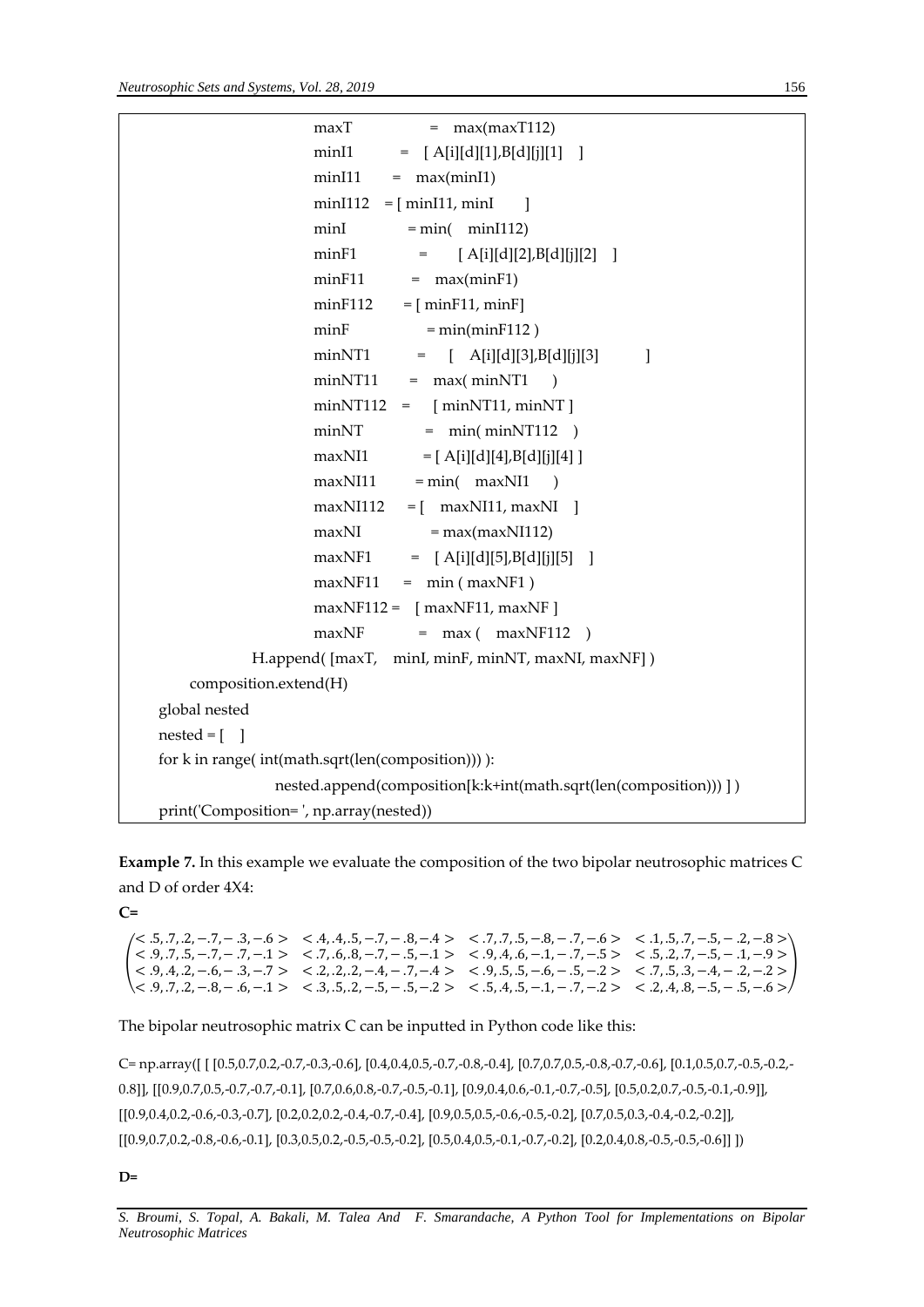```
maxT = max(maxT112)minI1 = [A[i][d][1],B[d][j][1]min11 = max(min11)min[112 = [min[11, min]]minI = min( minI112) minF1 = [ A[i][d][2],B[d][j][2] ]
                 minF11 = max(minF1)minF112 = [minF11, minF]minF = min(minF112)minNT1 = [ A[i][d][3],B[d][j][3] ]
                 minNT11 = max(minNT1)minNT112 = [minNT11, minNT]minNT = min(minNT112)maxNI1 = [ A[i][d][4],B[d][i][4] ]
                 maxN111 = min(maxN11)maxNI112 = [maxNI11, maxNI]maxNI = max(maxNI112)maxNF1 = [A[i][d][5],B[d][j][5]maxNF11 = min ( maxNF1)maxNF112 = \lceil maxNF11, maxNF \rceilmaxNF = max( maxNF112 )H.append( [maxT, minI, minF, minNT, maxNI, maxNF])
    composition.extend(H)
 global nested
nested = [ ]
 for k in range( int(math.sqrt(len(composition))) ):
              nested.append(composition[k:k+int(math.sqrt(len(composition))) ] ) 
 print('Composition= ', np.array(nested))
```
**Example 7.** In this example we evaluate the composition of the two bipolar neutrosophic matrices C and D of order 4X4:

**C=**

```
(
< .9, .4, .2, −.6, − .3, −.7 > < .2, .2, .2, −.4, − .7, −.4 > < .9, .5, .5, −.6, − .5, −.2 > < .7, .5, .3, −.4, − .2, −.2 >
)
 \langle 5, .7, .2, -.7, -.3, -.6 \rangle \langle 4, .4, .5, -.7, -.8, -.4 \rangle \langle 7, .7, .5, -.8, -.7, -.6 \rangle \langle 1, .5, .7, -.5, -.2, -.8 \rangle< .9, .7, .5, -.7, -.7, -.1 > < .7, .6, .8, -.7, -.5, -.1 > < .9, .4, .6, -.1, -.7, -.5 > < .5, .2, .7, -.5, -.1, -.9 >< .9, .7, .2, −.8, − .6, −.1 > < .3, .5, .2, −.5, − .5, −.2 > < .5, .4, .5, −.1, − .7, −.2 > < .2, .4, .8, −.5, − .5, −.6 >
```
# The bipolar neutrosophic matrix C can be inputted in Python code like this:

C= np.array([ [ [0.5,0.7,0.2,-0.7,-0.3,-0.6], [0.4,0.4,0.5,-0.7,-0.8,-0.4], [0.7,0.7,0.5,-0.8,-0.7,-0.6], [0.1,0.5,0.7,-0.5,-0.2,- 0.8]], [[0.9,0.7,0.5,-0.7,-0.7,-0.1], [0.7,0.6,0.8,-0.7,-0.5,-0.1], [0.9,0.4,0.6,-0.1,-0.7,-0.5], [0.5,0.2,0.7,-0.5,-0.1,-0.9]], [[0.9,0.4,0.2,-0.6,-0.3,-0.7], [0.2,0.2,0.2,-0.4,-0.7,-0.4], [0.9,0.5,0.5,-0.6,-0.5,-0.2], [0.7,0.5,0.3,-0.4,-0.2,-0.2]], [[0.9,0.7,0.2,-0.8,-0.6,-0.1], [0.3,0.5,0.2,-0.5,-0.5,-0.2], [0.5,0.4,0.5,-0.1,-0.7,-0.2], [0.2,0.4,0.8,-0.5,-0.6]] ])

# **D=**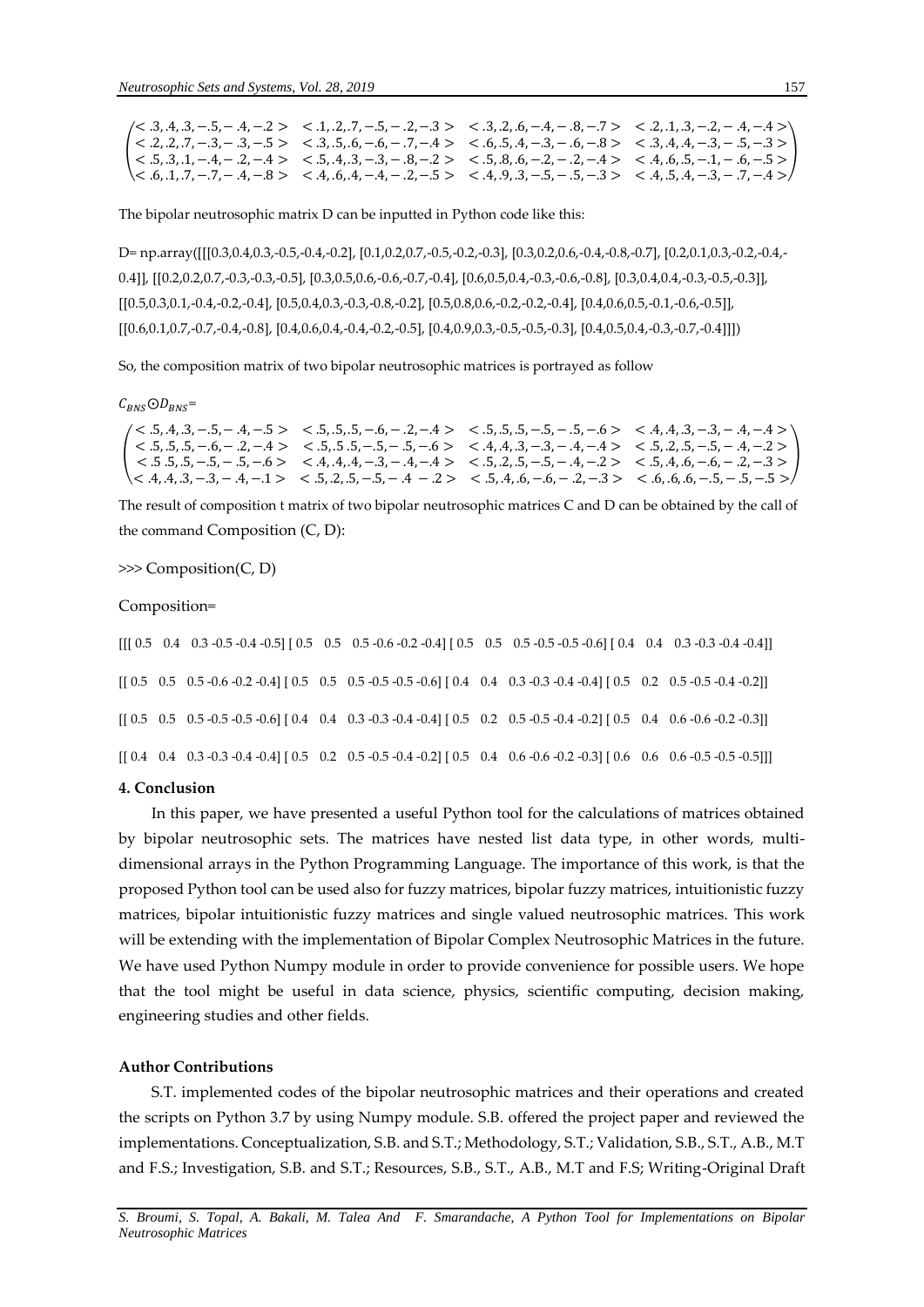|  | $\langle 5, 3, 4, 3, -5, -3, -4, -2 \rangle$ $\langle 1, 2, 7, -5, -2, -3 \rangle$ $\langle 3, 2, 6, -4, -3, -7 \rangle$ $\langle 2, 1, 3, -2, -3, -4 \rangle$         |
|--|------------------------------------------------------------------------------------------------------------------------------------------------------------------------|
|  | $1 < .2, .2, .7, -.3, -.3, -.5 > < .3, .5, .6, -.6, -.7, -.4 > < .6, .5, .4, -.3, -.6, -.8 > < .3, .4, .4, -.3, -.5, -.3 > 1$                                          |
|  |                                                                                                                                                                        |
|  | $\langle 6, .1, .7, -.7, -.4, -.8 \rangle$ $\langle 4, .6, .4, -.4, -.2, -.5 \rangle$ $\langle 4, .9, .3, -.5, -.3 \rangle$ $\langle 4, .5, .4, -.3, -.7, -.4 \rangle$ |

The bipolar neutrosophic matrix D can be inputted in Python code like this:

D= np.array([[[0.3,0.4,0.3,-0.5,-0.4,-0.2], [0.1,0.2,0.7,-0.5,-0.2,-0.3], [0.3,0.2,0.6,-0.4,-0.8,-0.7], [0.2,0.1,0.3,-0.2,-0.4,- 0.4]], [[0.2,0.2,0.7,-0.3,-0.3,-0.5], [0.3,0.5,0.6,-0.6,-0.7,-0.4], [0.6,0.5,0.4,-0.3,-0.6,-0.8], [0.3,0.4,0.4,-0.3,-0.5,-0.3]], [[0.5,0.3,0.1,-0.4,-0.2,-0.4], [0.5,0.4,0.3,-0.3,-0.8,-0.2], [0.5,0.8,0.6,-0.2,-0.2,-0.4], [0.4,0.6,0.5,-0.1,-0.6,-0.5]], [[0.6,0.1,0.7,-0.7,-0.4,-0.8], [0.4,0.6,0.4,-0.4,-0.2,-0.5], [0.4,0.9,0.3,-0.5,-0.5,-0.3], [0.4,0.5,0.4,-0.3,-0.7,-0.4]]])

So, the composition matrix of two bipolar neutrosophic matrices is portrayed as follow

 $C_{RNS}$ O $D_{RNS}$ =

|  |                                                                                                       | $\langle 5, .4, .3, -.5, -.4, -.5 \rangle$ $\langle 5, .5, .5, -.6, -.2, -.4 \rangle$ $\langle 5, .5, .5, -.5, -.5, -.6 \rangle$ $\langle 4, .4, .3, -.3, -.4, -.4 \rangle$ |
|--|-------------------------------------------------------------------------------------------------------|-----------------------------------------------------------------------------------------------------------------------------------------------------------------------------|
|  |                                                                                                       | $1 < .5, .5, .5, -.6, -.2, -.4 > < .5, .5, .5, -.5, -.5, -.6 > < .4, .4, .3, -.3, -.4, -.4 > < .5, .2, .5, -.5, -.4, -.2 > 1$                                               |
|  | $(3, -3, -5, -5, -5, -5, -6)$ $(4, 4, 4, -3, -4, -4)$ $(5, 2, 3, -5, -4, -2)$ $(5, 4, 6, -6, -2, -3)$ |                                                                                                                                                                             |
|  |                                                                                                       | $\langle 4.4.4.3, -3, -4, -1 \rangle$ $\langle 5.2.5, -5, -4, -2 \rangle$ $\langle 5.4.6, -6, -2, -3 \rangle$ $\langle 6.6.6, -5, -5, -5 \rangle$                           |

The result of composition t matrix of two bipolar neutrosophic matrices C and D can be obtained by the call of the command Composition (C, D):

>>> Composition(C, D)

#### Composition=

 $[[ [ 0.5 \t0.4 \t0.3 \t-0.5 \t-0.4 \t-0.5] [ 0.5 \t0.5 \t0.5 \t0.6 \t-0.2 \t-0.4] [ 0.5 \t0.5 \t0.5 \t0.5 \t0.5 \t0.5 \t0.6] [ 0.4 \t0.4 \t0.4 \t0.3 \t-0.3 \t-0.4 \t0.4] ]$ [[ 0.5 0.5 0.5 -0.6 -0.2 -0.4] [ 0.5 0.5 0.5 -0.5 -0.5 -0.6] [ 0.4 0.4 0.3 -0.3 -0.4 -0.4] [ 0.5 0.2 0.5 -0.5 -0.4 -0.2]]  $[$  [0.5 0.5 -0.5 -0.5 -0.5 -0.6 ] [0.4 0.4 0.3 -0.3 -0.4 -0.4] [0.5 0.2 0.5 -0.5 -0.4 -0.2] [0.5 0.4 0.6 -0.6 -0.2 -0.3]]  $[$  [ $]$  0.4 0.3 -0.3 -0.3 -0.4 -0.4]  $[$  0.5 0.2 0.5 -0.5 -0.4 -0.2]  $[$  0.5 0.4 0.6 -0.6 -0.2 -0.3 $]$   $[$  0.6 0.6 0.6 -0.5 -0.5 -0.5]]]

# **4. Conclusion**

In this paper, we have presented a useful Python tool for the calculations of matrices obtained by bipolar neutrosophic sets. The matrices have nested list data type, in other words, multidimensional arrays in the Python Programming Language. The importance of this work, is that the proposed Python tool can be used also for fuzzy matrices, bipolar fuzzy matrices, intuitionistic fuzzy matrices, bipolar intuitionistic fuzzy matrices and single valued neutrosophic matrices. This work will be extending with the implementation of Bipolar Complex Neutrosophic Matrices in the future. We have used Python Numpy module in order to provide convenience for possible users. We hope that the tool might be useful in data science, physics, scientific computing, decision making, engineering studies and other fields.

## **Author Contributions**

S.T. implemented codes of the bipolar neutrosophic matrices and their operations and created the scripts on Python 3.7 by using Numpy module. S.B. offered the project paper and reviewed the implementations. Conceptualization, S.B. and S.T.; Methodology, S.T.; Validation, S.B., S.T., A.B., M.T and F.S.; Investigation, S.B. and S.T.; Resources, S.B., S.T., A.B., M.T and F.S; Writing-Original Draft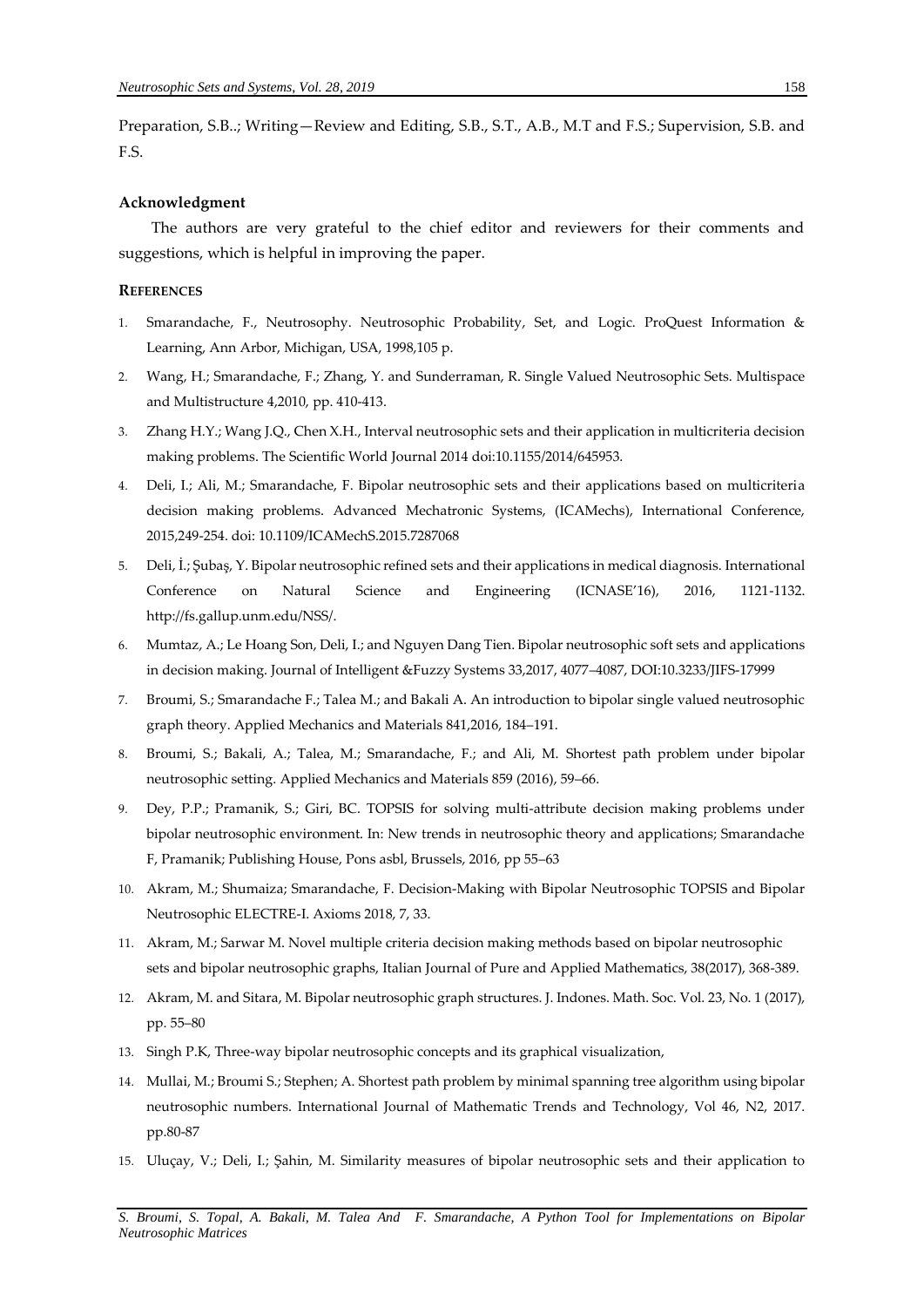Preparation, S.B..; Writing—Review and Editing, S.B., S.T., A.B., M.T and F.S.; Supervision, S.B. and F.S.

## **Acknowledgment**

The authors are very grateful to the chief editor and reviewers for their comments and suggestions, which is helpful in improving the paper.

### **REFERENCES**

- 1. Smarandache, F., Neutrosophy. Neutrosophic Probability, Set, and Logic. ProQuest Information & Learning, Ann Arbor, Michigan, USA, 1998,105 p.
- 2. Wang, H.; Smarandache, F.; Zhang, Y. and Sunderraman, R. Single Valued Neutrosophic Sets. Multispace and Multistructure 4,2010, pp. 410-413.
- 3. Zhang H.Y.; Wang J.Q., Chen X.H., Interval neutrosophic sets and their application in multicriteria decision making problems. The Scientific World Journal 2014 doi:10.1155/2014/645953.
- 4. Deli, I.; Ali, M.; Smarandache, F. Bipolar neutrosophic sets and their applications based on multicriteria decision making problems. Advanced Mechatronic Systems, (ICAMechs), International Conference, 2015,249-254. doi: 10.1109/ICAMechS.2015.7287068
- 5. Deli, İ.; Şubaş, Y. Bipolar neutrosophic refined sets and their applications in medical diagnosis. International Conference on Natural Science and Engineering (ICNASE'16), 2016, 1121-1132. [http://fs.gallup.unm.edu/NSS/.](http://fs.gallup.unm.edu/NSS/)
- 6. Mumtaz, A.; Le Hoang Son, Deli, I.; and Nguyen Dang Tien. Bipolar neutrosophic soft sets and applications in decision making. Journal of Intelligent &Fuzzy Systems 33,2017, 4077–4087, DOI:10.3233/JIFS-17999
- 7. Broumi, S.; Smarandache F.; Talea M.; and Bakali A. An introduction to bipolar single valued neutrosophic graph theory. Applied Mechanics and Materials 841,2016, 184–191.
- 8. Broumi, S.; Bakali, A.; Talea, M.; Smarandache, F.; and Ali, M. Shortest path problem under bipolar neutrosophic setting. Applied Mechanics and Materials 859 (2016), 59–66.
- 9. Dey, P.P.; Pramanik, S.; Giri, BC. TOPSIS for solving multi-attribute decision making problems under bipolar neutrosophic environment. In: New trends in neutrosophic theory and applications; Smarandache F, Pramanik; Publishing House, Pons asbl, Brussels, 2016, pp 55–63
- 10. Akram, M.; Shumaiza; Smarandache, F. Decision-Making with Bipolar Neutrosophic TOPSIS and Bipolar Neutrosophic ELECTRE-I. Axioms 2018, 7, 33.
- 11. Akram, M.; Sarwar M. Novel multiple criteria decision making methods based on bipolar neutrosophic sets and bipolar neutrosophic graphs, Italian Journal of Pure and Applied Mathematics, 38(2017), 368-389.
- 12. Akram, M. and Sitara, M. Bipolar neutrosophic graph structures. J. Indones. Math. Soc. Vol. 23, No. 1 (2017), pp. 55–80
- 13. Singh P.K, Three-way bipolar neutrosophic concepts and its graphical visualization,
- 14. Mullai, M.; Broumi S.; Stephen; A. Shortest path problem by minimal spanning tree algorithm using bipolar neutrosophic numbers. International Journal of Mathematic Trends and Technology, Vol 46, N2, 2017. pp.80-87
- 15. Uluçay, V.; Deli, I.; Şahin, M. [Similarity measures of bipolar neutrosophic sets and their application to](javascript:void(0))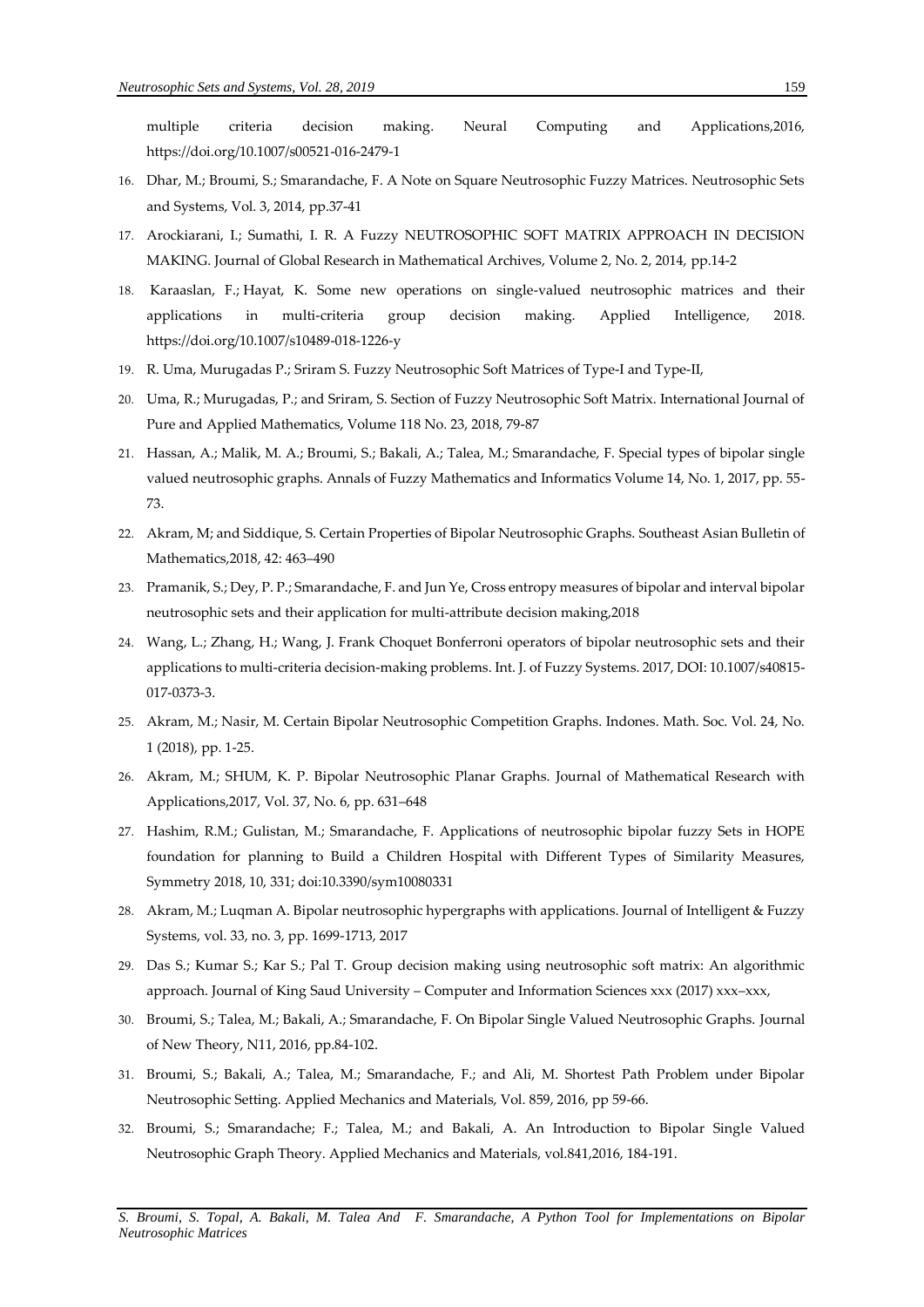[multiple criteria decision making.](javascript:void(0)) Neural Computing and Applications,2016, <https://doi.org/10.1007/s00521-016-2479-1>

- 16. Dhar, M.; Broumi, S.; Smarandache, F. A Note on Square Neutrosophic Fuzzy Matrices. Neutrosophic Sets and Systems, Vol. 3, 2014, pp.37-41
- 17. Arockiarani, I.; Sumathi, I. R. A Fuzzy NEUTROSOPHIC SOFT MATRIX APPROACH IN DECISION MAKING. Journal of Global Research in Mathematical Archives, Volume 2, No. 2, 2014, pp.14-2
- 18. Karaaslan, F.; Hayat, K. Some new operations on single-valued neutrosophic matrices and their applications in multi-criteria group decision making. [Applied Intelligence,](https://link.springer.com/journal/10489) 2018. <https://doi.org/10.1007/s10489-018-1226-y>
- 19. R. Uma, Murugadas P.; Sriram S. Fuzzy Neutrosophic Soft Matrices of Type-I and Type-II,
- 20. Uma, R.; Murugadas, P.; and Sriram, S. Section of Fuzzy Neutrosophic Soft Matrix. International Journal of Pure and Applied Mathematics, Volume 118 No. 23, 2018, 79-87
- 21. Hassan, A.; Malik, M. A.; Broumi, S.; Bakali, A.; Talea, M.; Smarandache, F. Special types of bipolar single valued neutrosophic graphs. Annals of Fuzzy Mathematics and Informatics Volume 14, No. 1, 2017, pp. 55- 73.
- 22. Akram, M; and Siddique, S. Certain Properties of Bipolar Neutrosophic Graphs. Southeast Asian Bulletin of Mathematics,2018, 42: 463–490
- 23. Pramanik, S.; Dey, P. P.; Smarandache, F. and Jun Ye, Cross entropy measures of bipolar and interval bipolar neutrosophic sets and their application for multi-attribute decision making,2018
- 24. Wang, L.; Zhang, H.; Wang, J. Frank Choquet Bonferroni operators of bipolar neutrosophic sets and their applications to multi-criteria decision-making problems. Int. J. of Fuzzy Systems. 2017, DOI: 10.1007/s40815- 017-0373-3.
- 25. Akram, M.; Nasir, M. Certain Bipolar Neutrosophic Competition Graphs. Indones. Math. Soc. Vol. 24, No. 1 (2018), pp. 1-25.
- 26. Akram, M.; SHUM, K. P. Bipolar Neutrosophic Planar Graphs. Journal of Mathematical Research with Applications,2017, Vol. 37, No. 6, pp. 631–648
- 27. Hashim, R.M.; Gulistan, M.; Smarandache, F. Applications of neutrosophic bipolar fuzzy Sets in HOPE foundation for planning to Build a Children Hospital with Different Types of Similarity Measures, Symmetry 2018, 10, 331; doi:10.3390/sym10080331
- 28. Akram, M.; Luqman A. Bipolar neutrosophic hypergraphs with applications. Journal of Intelligent & Fuzzy Systems, vol. 33, no. 3, pp. 1699-1713, 2017
- 29. Das S.; Kumar S.; Kar S.; Pal T. Group decision making using neutrosophic soft matrix: An algorithmic approach. Journal of King Saud University – Computer and Information Sciences xxx (2017) xxx–xxx,
- 30. Broumi, S.; Talea, M.; Bakali, A.; Smarandache, F. On Bipolar Single Valued Neutrosophic Graphs. Journal of New Theory, N11, 2016, pp.84-102.
- 31. Broumi, S.; Bakali, A.; Talea, M.; Smarandache, F.; and Ali, M. Shortest Path Problem under Bipolar Neutrosophic Setting. Applied Mechanics and Materials, Vol. 859, 2016, pp 59-66.
- 32. Broumi, S.; Smarandache; F.; Talea, M.; and Bakali, A. An Introduction to Bipolar Single Valued Neutrosophic Graph Theory. Applied Mechanics and Materials, vol.841,2016, 184-191.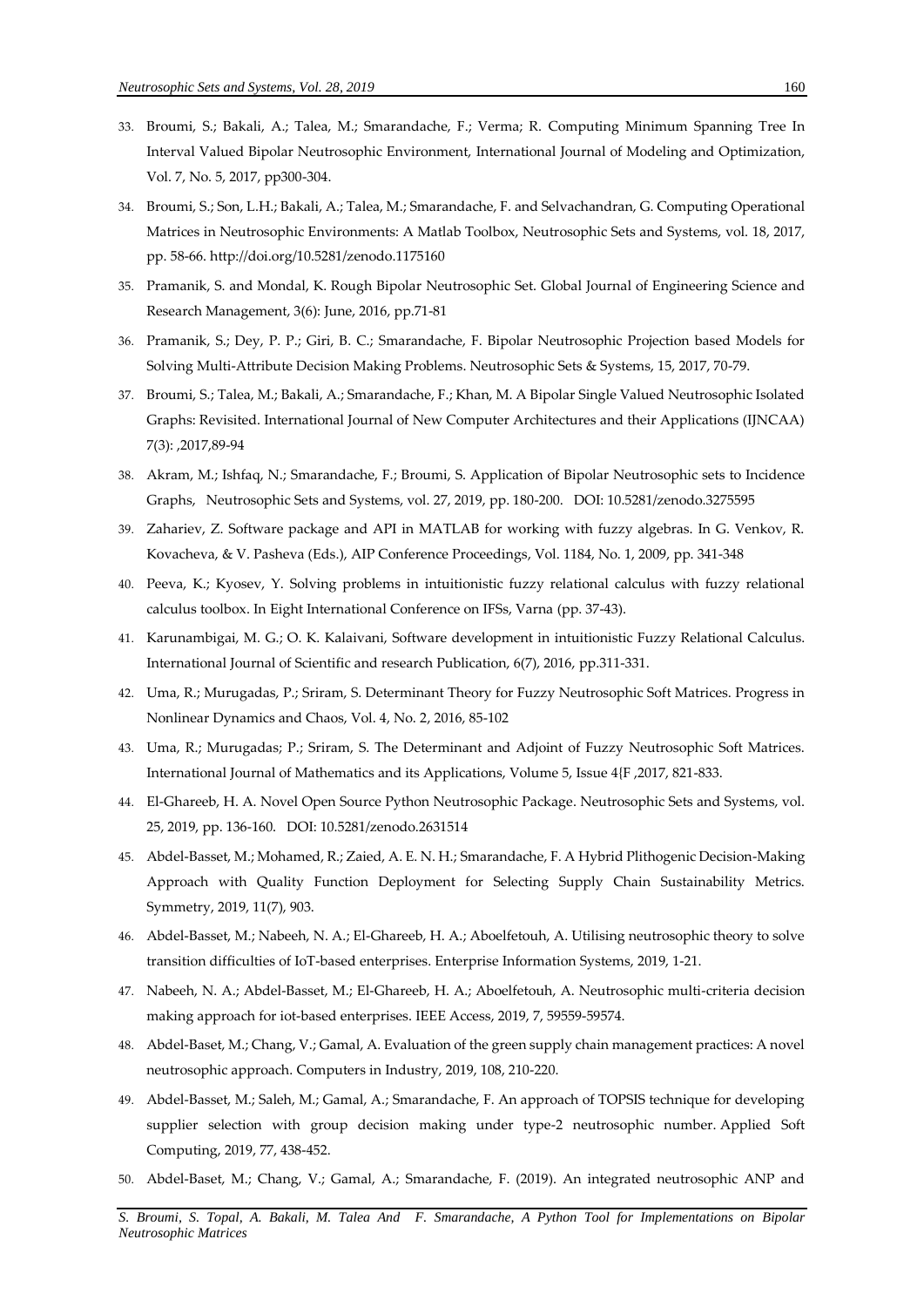- 33. Broumi, S.; Bakali, A.; Talea, M.; Smarandache, F.; Verma; R. Computing Minimum Spanning Tree In Interval Valued Bipolar Neutrosophic Environment, International Journal of Modeling and Optimization, Vol. 7, No. 5, 2017, pp300-304.
- 34. Broumi, S.; Son, L.H.; Bakali, A.; Talea, M.; Smarandache, F. and Selvachandran, G. Computing Operational Matrices in Neutrosophic Environments: A Matlab Toolbox, Neutrosophic Sets and Systems, vol. 18, 2017, pp. 58-66[. http://doi.org/10.5281/zenodo.1175160](http://doi.org/10.5281/zenodo.1175160)
- 35. Pramanik, S. and Mondal, K. Rough Bipolar Neutrosophic Set. Global Journal of Engineering Science and Research Management, 3(6): June, 2016, pp.71-81
- 36. Pramanik, S.; Dey, P. P.; Giri, B. C.; Smarandache, F. Bipolar Neutrosophic Projection based Models for Solving Multi-Attribute Decision Making Problems. Neutrosophic Sets & Systems, 15, 2017, 70-79.
- 37. Broumi, S.; Talea, M.; Bakali, A.; Smarandache, F.; Khan, M. A Bipolar Single Valued Neutrosophic Isolated Graphs: Revisited. International Journal of New Computer Architectures and their Applications (IJNCAA) 7(3): ,2017,89-94
- 38. Akram, M.; Ishfaq, N.; Smarandache, F.; Broumi, S. [Application of Bipolar Neutrosophic sets to Incidence](http://fs.unm.edu/NSS/ApplicationofBipolarNeutrosophicsetstoIncidence.pdf)  [Graphs,](http://fs.unm.edu/NSS/ApplicationofBipolarNeutrosophicsetstoIncidence.pdf) Neutrosophic Sets and Systems, vol. 27, 2019, pp. 180-200. DOI[: 10.5281/zenodo.3275595](https://zenodo.org/record/3275595)
- 39. Zahariev, Z. Software package and API in MATLAB for working with fuzzy algebras. In G. Venkov, R. Kovacheva, & V. Pasheva (Eds.), AIP Conference Proceedings, Vol. 1184, No. 1, 2009, pp. 341-348
- 40. Peeva, K.; Kyosev, Y. Solving problems in intuitionistic fuzzy relational calculus with fuzzy relational calculus toolbox. In Eight International Conference on IFSs, Varna (pp. 37-43).
- 41. Karunambigai, M. G.; O. K. Kalaivani, Software development in intuitionistic Fuzzy Relational Calculus. International Journal of Scientific and research Publication, 6(7), 2016, pp.311-331.
- 42. Uma, R.; Murugadas, P.; Sriram, S. Determinant Theory for Fuzzy Neutrosophic Soft Matrices. Progress in Nonlinear Dynamics and Chaos, Vol. 4, No. 2, 2016, 85-102
- 43. Uma, R.; Murugadas; P.; Sriram, S. The Determinant and Adjoint of Fuzzy Neutrosophic Soft Matrices. International Journal of Mathematics and its Applications, Volume 5, Issue 4{F ,2017, 821-833.
- 44. El-Ghareeb, H. A[. Novel Open Source Python Neutrosophic Package.](http://fs.unm.edu/NSS/NovelOpenSourcePython.pdf) Neutrosophic Sets and Systems, vol. 25, 2019, pp. 136-160. DOI[: 10.5281/zenodo.2631514](https://zenodo.org/record/2631514#.XKkqwqSxXIU)
- 45. Abdel-Basset, M.; Mohamed, R.; Zaied, A. E. N. H.; Smarandache, F. A Hybrid Plithogenic Decision-Making Approach with Quality Function Deployment for Selecting Supply Chain Sustainability Metrics. Symmetry, 2019, 11(7), 903.
- 46. Abdel-Basset, M.; Nabeeh, N. A.; El-Ghareeb, H. A.; Aboelfetouh, A. Utilising neutrosophic theory to solve transition difficulties of IoT-based enterprises. Enterprise Information Systems, 2019, 1-21.
- 47. Nabeeh, N. A.; Abdel-Basset, M.; El-Ghareeb, H. A.; Aboelfetouh, A. Neutrosophic multi-criteria decision making approach for iot-based enterprises. IEEE Access, 2019, 7, 59559-59574.
- 48. Abdel-Baset, M.; Chang, V.; Gamal, A. Evaluation of the green supply chain management practices: A novel neutrosophic approach. Computers in Industry, 2019, 108, 210-220.
- 49. Abdel-Basset, M.; Saleh, M.; Gamal, A.; Smarandache, F. An approach of TOPSIS technique for developing supplier selection with group decision making under type-2 neutrosophic number. Applied Soft Computing, 2019, 77, 438-452.
- 50. Abdel-Baset, M.; Chang, V.; Gamal, A.; Smarandache, F. (2019). An integrated neutrosophic ANP and